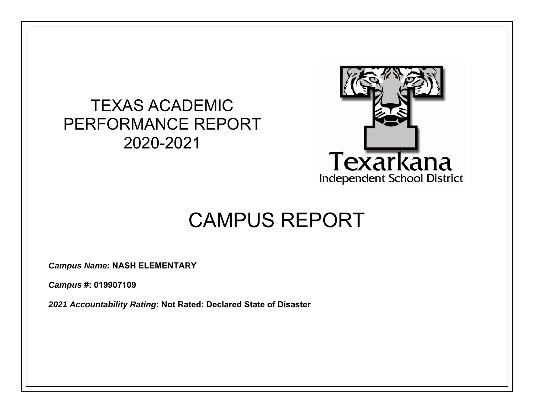## TEXAS ACADEMIC PERFORMANCE REPORT 2020-2021



# CAMPUS REPORT

*Campus Name:* **NASH ELEMENTARY** 

*Campus* **#: 019907109** 

*2021 Accountability Rating***: Not Rated: Declared State of Disaster**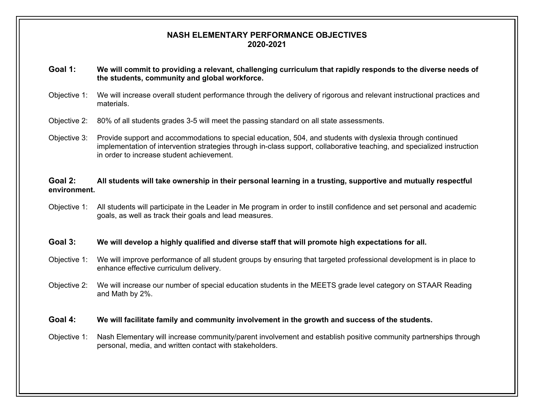#### **NASH ELEMENTARY PERFORMANCE OBJECTIVES 2020-2021**

#### **Goal 1: We will commit to providing a relevant, challenging curriculum that rapidly responds to the diverse needs of the students, community and global workforce.**

- Objective 1: We will increase overall student performance through the delivery of rigorous and relevant instructional practices and materials.
- Objective 2: 80% of all students grades 3-5 will meet the passing standard on all state assessments.
- Objective 3: Provide support and accommodations to special education, 504, and students with dyslexia through continued implementation of intervention strategies through in-class support, collaborative teaching, and specialized instruction in order to increase student achievement.

#### **Goal 2: All students will take ownership in their personal learning in a trusting, supportive and mutually respectful environment.**

Objective 1: All students will participate in the Leader in Me program in order to instill confidence and set personal and academic goals, as well as track their goals and lead measures.

#### **Goal 3: We will develop a highly qualified and diverse staff that will promote high expectations for all.**

- Objective 1: We will improve performance of all student groups by ensuring that targeted professional development is in place to enhance effective curriculum delivery.
- Objective 2: We will increase our number of special education students in the MEETS grade level category on STAAR Reading and Math by 2%.

#### **Goal 4: We will facilitate family and community involvement in the growth and success of the students.**

Objective 1: Nash Elementary will increase community/parent involvement and establish positive community partnerships through personal, media, and written contact with stakeholders.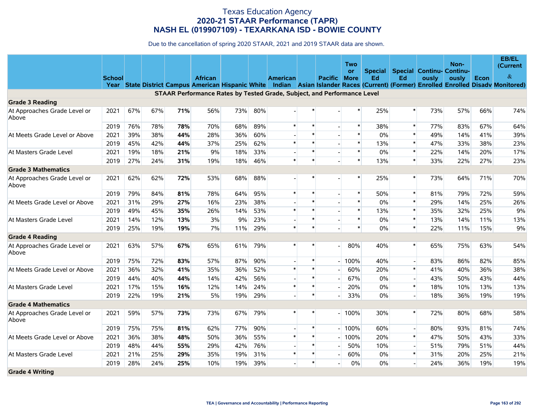|                                       |               |     |     |     |                                                                         |     |     |                 |        |                          | Two          |                |                |                                  | Non-  |      | EB/EL<br>(Current                                                                                                                     |
|---------------------------------------|---------------|-----|-----|-----|-------------------------------------------------------------------------|-----|-----|-----------------|--------|--------------------------|--------------|----------------|----------------|----------------------------------|-------|------|---------------------------------------------------------------------------------------------------------------------------------------|
|                                       |               |     |     |     |                                                                         |     |     |                 |        |                          | <b>or</b>    | <b>Special</b> |                | <b>Special Continu- Continu-</b> |       |      |                                                                                                                                       |
|                                       | <b>School</b> |     |     |     | <b>African</b>                                                          |     |     | <b>American</b> |        | Pacific                  | <b>More</b>  | Ed             | Ed             | ously                            | ously | Econ | $\&$                                                                                                                                  |
|                                       |               |     |     |     |                                                                         |     |     |                 |        |                          |              |                |                |                                  |       |      | Year State District Campus American Hispanic White Indian Asian Islander Races (Current) (Former) Enrolled Enrolled Disady Monitored) |
|                                       |               |     |     |     | STAAR Performance Rates by Tested Grade, Subject, and Performance Level |     |     |                 |        |                          |              |                |                |                                  |       |      |                                                                                                                                       |
| <b>Grade 3 Reading</b>                |               |     |     |     |                                                                         |     |     |                 |        |                          | $\ast$       |                | $\ast$         |                                  |       |      |                                                                                                                                       |
| At Approaches Grade Level or<br>Above | 2021          | 67% | 67% | 71% | 56%                                                                     | 73% | 80% |                 |        |                          |              | 25%            |                | 73%                              | 57%   | 66%  | 74%                                                                                                                                   |
|                                       | 2019          | 76% | 78% | 78% | 70%                                                                     | 68% | 89% | $\ast$          | $\ast$ |                          | $\ast$       | 38%            | $\ast$         | 77%                              | 83%   | 67%  | 64%                                                                                                                                   |
| At Meets Grade Level or Above         | 2021          | 39% | 38% | 44% | 28%                                                                     | 36% | 60% |                 | $\ast$ |                          | $\pmb{\ast}$ | 0%             | $\ast$         | 49%                              | 14%   | 41%  | 39%                                                                                                                                   |
|                                       | 2019          | 45% | 42% | 44% | 37%                                                                     | 25% | 62% | $\ast$          | $\ast$ |                          | $\pmb{\ast}$ | 13%            | $\pmb{\ast}$   | 47%                              | 33%   | 38%  | 23%                                                                                                                                   |
| At Masters Grade Level                | 2021          | 19% | 18% | 21% | 9%                                                                      | 18% | 33% |                 | $\ast$ |                          | $\pmb{\ast}$ | 0%             | $\ast$         | 22%                              | 14%   | 20%  | 17%                                                                                                                                   |
|                                       | 2019          | 27% | 24% | 31% | 19%                                                                     | 18% | 46% | $\ast$          | $\ast$ |                          | $\ast$       | 13%            | $\pmb{\ast}$   | 33%                              | 22%   | 27%  | 23%                                                                                                                                   |
| <b>Grade 3 Mathematics</b>            |               |     |     |     |                                                                         |     |     |                 |        |                          |              |                |                |                                  |       |      |                                                                                                                                       |
| At Approaches Grade Level or<br>Above | 2021          | 62% | 62% | 72% | 53%                                                                     | 68% | 88% |                 |        |                          | $\ast$       | 25%            | $\ast$         | 73%                              | 64%   | 71%  | 70%                                                                                                                                   |
|                                       | 2019          | 79% | 84% | 81% | 78%                                                                     | 64% | 95% | $\ast$          | $\ast$ |                          | $\ast$       | 50%            | $\ast$         | 81%                              | 79%   | 72%  | 59%                                                                                                                                   |
| At Meets Grade Level or Above         | 2021          | 31% | 29% | 27% | 16%                                                                     | 23% | 38% |                 | $\ast$ |                          | $\ast$       | 0%             | $\ast$         | 29%                              | 14%   | 25%  | 26%                                                                                                                                   |
|                                       | 2019          | 49% | 45% | 35% | 26%                                                                     | 14% | 53% | $\ast$          | $\ast$ |                          | $\ast$       | 13%            | $\ast$         | 35%                              | 32%   | 25%  | 9%                                                                                                                                    |
| At Masters Grade Level                | 2021          | 14% | 12% | 13% | 3%                                                                      | 9%  | 23% |                 | $\ast$ |                          | $\ast$       | $0\%$          | $\ast$         | 13%                              | 14%   | 11%  | 13%                                                                                                                                   |
|                                       | 2019          | 25% | 19% | 19% | 7%                                                                      | 11% | 29% | $\ast$          | $\ast$ |                          | $\ast$       | 0%             | $\ast$         | 22%                              | 11%   | 15%  | 9%                                                                                                                                    |
| <b>Grade 4 Reading</b>                |               |     |     |     |                                                                         |     |     |                 |        |                          |              |                |                |                                  |       |      |                                                                                                                                       |
| At Approaches Grade Level or<br>Above | 2021          | 63% | 57% | 67% | 65%                                                                     | 61% | 79% | $\ast$          |        |                          | 80%          | 40%            | $\ast$         | 65%                              | 75%   | 63%  | 54%                                                                                                                                   |
|                                       | 2019          | 75% | 72% | 83% | 57%                                                                     | 87% | 90% |                 | $\ast$ |                          | 100%         | 40%            | $\overline{a}$ | 83%                              | 86%   | 82%  | 85%                                                                                                                                   |
| At Meets Grade Level or Above         | 2021          | 36% | 32% | 41% | 35%                                                                     | 36% | 52% | $\ast$          | $\ast$ |                          | 60%          | 20%            | $\ast$         | 41%                              | 40%   | 36%  | 38%                                                                                                                                   |
|                                       | 2019          | 44% | 40% | 44% | 14%                                                                     | 42% | 56% |                 | $\ast$ |                          | 67%          | $0\%$          | $\blacksquare$ | 43%                              | 50%   | 43%  | 44%                                                                                                                                   |
| At Masters Grade Level                | 2021          | 17% | 15% | 16% | 12%                                                                     | 14% | 24% | $\ast$          | $\ast$ |                          | 20%          | $0\%$          | $\ast$         | 18%                              | 10%   | 13%  | 13%                                                                                                                                   |
|                                       | 2019          | 22% | 19% | 21% | 5%                                                                      | 19% | 29% |                 | $\ast$ |                          | 33%          | $0\%$          | $\blacksquare$ | 18%                              | 36%   | 19%  | 19%                                                                                                                                   |
| <b>Grade 4 Mathematics</b>            |               |     |     |     |                                                                         |     |     |                 |        |                          |              |                |                |                                  |       |      |                                                                                                                                       |
| At Approaches Grade Level or<br>Above | 2021          | 59% | 57% | 73% | 73%                                                                     | 67% | 79% |                 |        |                          | 100%         | 30%            | $\ast$         | 72%                              | 80%   | 68%  | 58%                                                                                                                                   |
|                                       | 2019          | 75% | 75% | 81% | 62%                                                                     | 77% | 90% |                 | $\ast$ | $\overline{\phantom{a}}$ | 100%         | 60%            | $\overline{a}$ | 80%                              | 93%   | 81%  | 74%                                                                                                                                   |
| At Meets Grade Level or Above         | 2021          | 36% | 38% | 48% | 50%                                                                     | 36% | 55% | $\ast$          | $\ast$ |                          | 100%         | 20%            | $\ast$         | 47%                              | 50%   | 43%  | 33%                                                                                                                                   |
|                                       | 2019          | 48% | 44% | 55% | 29%                                                                     | 42% | 76% |                 | $\ast$ |                          | 50%          | 10%            |                | 51%                              | 79%   | 51%  | 44%                                                                                                                                   |
| At Masters Grade Level                | 2021          | 21% | 25% | 29% | 35%                                                                     | 19% | 31% | $\ast$          | $\ast$ |                          | 60%          | $0\%$          | $\ast$         | 31%                              | 20%   | 25%  | 21%                                                                                                                                   |
|                                       | 2019          | 28% | 24% | 25% | 10%                                                                     | 19% | 39% |                 | $\ast$ |                          | 0%           | $0\%$          |                | 24%                              | 36%   | 19%  | 19%                                                                                                                                   |
| <b>Grade 4 Writing</b>                |               |     |     |     |                                                                         |     |     |                 |        |                          |              |                |                |                                  |       |      |                                                                                                                                       |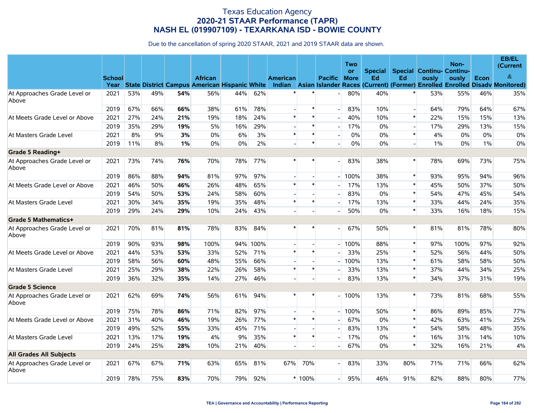|                                       |                       |     |     |     |                                                                 |     |      |                 |        |                | Two         |       |                          |                                          | Non-  |       | EB/EL<br>(Current                                                                  |
|---------------------------------------|-----------------------|-----|-----|-----|-----------------------------------------------------------------|-----|------|-----------------|--------|----------------|-------------|-------|--------------------------|------------------------------------------|-------|-------|------------------------------------------------------------------------------------|
|                                       |                       |     |     |     |                                                                 |     |      |                 |        |                | <b>or</b>   |       |                          | <b>Special Special Continu- Continu-</b> |       |       | $\&$                                                                               |
|                                       | <b>School</b><br>Year |     |     |     | <b>African</b><br>State District Campus American Hispanic White |     |      | <b>American</b> |        | <b>Pacific</b> | <b>More</b> | Ed    | Ed                       | ously                                    | ously | Econ  | Indian Asian Islander Races (Current) (Former) Enrolled Enrolled Disady Monitored) |
| At Approaches Grade Level or<br>Above | 2021                  | 53% | 49% | 54% | 56%                                                             | 44% | 62%  |                 |        |                | 80%         | 40%   |                          | 53%                                      | 55%   | 46%   | 35%                                                                                |
|                                       | 2019                  | 67% | 66% | 66% | 38%                                                             | 61% | 78%  |                 | $\ast$ |                | 83%         | 10%   | $\blacksquare$           | 64%                                      | 79%   | 64%   | 67%                                                                                |
| At Meets Grade Level or Above         | 2021                  | 27% | 24% | 21% | 19%                                                             | 18% | 24%  | $\pmb{\ast}$    | $\ast$ |                | 40%         | 10%   | $\ast$                   | 22%                                      | 15%   | 15%   | 13%                                                                                |
|                                       | 2019                  | 35% | 29% | 19% | 5%                                                              | 16% | 29%  |                 | $\ast$ |                | 17%         | 0%    | $\overline{\phantom{a}}$ | 17%                                      | 29%   | 13%   | 15%                                                                                |
| At Masters Grade Level                | 2021                  | 8%  | 9%  | 3%  | $0\%$                                                           | 6%  | 3%   | $\ast$          | $\ast$ |                | 0%          | 0%    | $\ast$                   | 4%                                       | 0%    | $0\%$ | 0%                                                                                 |
|                                       | 2019                  | 11% | 8%  | 1%  | $0\%$                                                           | 0%  | 2%   |                 | $\ast$ |                | 0%          | $0\%$ | $\mathbb{L}$             | $1\%$                                    | 0%    | $1\%$ | 0%                                                                                 |
| Grade 5 Reading+                      |                       |     |     |     |                                                                 |     |      |                 |        |                |             |       |                          |                                          |       |       |                                                                                    |
| At Approaches Grade Level or<br>Above | 2021                  | 73% | 74% | 76% | 70%                                                             | 78% | 77%  | $\ast$          | $\ast$ |                | 83%         | 38%   | $\ast$                   | 78%                                      | 69%   | 73%   | 75%                                                                                |
|                                       | 2019                  | 86% | 88% | 94% | 81%                                                             | 97% | 97%  |                 |        |                | 100%        | 38%   | $\ast$                   | 93%                                      | 95%   | 94%   | 96%                                                                                |
| At Meets Grade Level or Above         | 2021                  | 46% | 50% | 46% | 26%                                                             | 48% | 65%  | $\ast$          | $\ast$ |                | 17%         | 13%   | $\ast$                   | 45%                                      | 50%   | 37%   | 50%                                                                                |
|                                       | 2019                  | 54% | 50% | 53% | 24%                                                             | 58% | 60%  |                 |        |                | 83%         | 0%    | $\ast$                   | 54%                                      | 47%   | 45%   | 54%                                                                                |
| At Masters Grade Level                | 2021                  | 30% | 34% | 35% | 19%                                                             | 35% | 48%  | $\pmb{\ast}$    | $\ast$ |                | 17%         | 13%   | $\ast$                   | 33%                                      | 44%   | 24%   | 35%                                                                                |
|                                       | 2019                  | 29% | 24% | 29% | 10%                                                             | 24% | 43%  |                 |        |                | 50%         | 0%    | $\ast$                   | 33%                                      | 16%   | 18%   | 15%                                                                                |
| Grade 5 Mathematics+                  |                       |     |     |     |                                                                 |     |      |                 |        |                |             |       |                          |                                          |       |       |                                                                                    |
| At Approaches Grade Level or<br>Above | 2021                  | 70% | 81% | 81% | 78%                                                             | 83% | 84%  | $\ast$          | $\ast$ |                | 67%         | 50%   | $\ast$                   | 81%                                      | 81%   | 78%   | 80%                                                                                |
|                                       | 2019                  | 90% | 93% | 98% | 100%                                                            | 94% | 100% |                 |        |                | 100%        | 88%   | $\ast$                   | 97%                                      | 100%  | 97%   | 92%                                                                                |
| At Meets Grade Level or Above         | 2021                  | 44% | 53% | 53% | 33%                                                             | 52% | 71%  | $\ast$          | $\ast$ |                | 33%         | 25%   | $\ast$                   | 52%                                      | 56%   | 44%   | 50%                                                                                |
|                                       | 2019                  | 58% | 56% | 60% | 48%                                                             | 55% | 66%  |                 |        |                | 100%        | 13%   | $\ast$                   | 61%                                      | 58%   | 58%   | 50%                                                                                |
| At Masters Grade Level                | 2021                  | 25% | 29% | 38% | 22%                                                             | 26% | 58%  | $\pmb{\ast}$    | $\ast$ |                | 33%         | 13%   | $\ast$                   | 37%                                      | 44%   | 34%   | 25%                                                                                |
|                                       | 2019                  | 36% | 32% | 35% | 14%                                                             | 27% | 46%  |                 |        |                | 83%         | 13%   | $\ast$                   | 34%                                      | 37%   | 31%   | 19%                                                                                |
| <b>Grade 5 Science</b>                |                       |     |     |     |                                                                 |     |      |                 |        |                |             |       |                          |                                          |       |       |                                                                                    |
| At Approaches Grade Level or<br>Above | 2021                  | 62% | 69% | 74% | 56%                                                             | 61% | 94%  | $\ast$          | $\ast$ |                | 100%        | 13%   | $\ast$                   | 73%                                      | 81%   | 68%   | 55%                                                                                |
|                                       | 2019                  | 75% | 78% | 86% | 71%                                                             | 82% | 97%  | $\overline{a}$  |        |                | 100%        | 50%   | $\ast$                   | 86%                                      | 89%   | 85%   | 77%                                                                                |
| At Meets Grade Level or Above         | 2021                  | 31% | 40% | 46% | 19%                                                             | 26% | 77%  | $\ast$          | $\ast$ |                | 67%         | 0%    | $\ast$                   | 42%                                      | 63%   | 41%   | 25%                                                                                |
|                                       | 2019                  | 49% | 52% | 55% | 33%                                                             | 45% | 71%  |                 |        |                | 83%         | 13%   | $\ast$                   | 54%                                      | 58%   | 48%   | 35%                                                                                |
| At Masters Grade Level                | 2021                  | 13% | 17% | 19% | 4%                                                              | 9%  | 35%  | $\ast$          | $\ast$ |                | 17%         | 0%    | $\ast$                   | 16%                                      | 31%   | 14%   | 10%                                                                                |
|                                       | 2019                  | 24% | 25% | 28% | 10%                                                             | 21% | 40%  |                 |        |                | 67%         | 0%    | $\pmb{\ast}$             | 32%                                      | 16%   | 21%   | 4%                                                                                 |
| <b>All Grades All Subjects</b>        |                       |     |     |     |                                                                 |     |      |                 |        |                |             |       |                          |                                          |       |       |                                                                                    |
| At Approaches Grade Level or<br>Above | 2021                  | 67% | 67% | 71% | 63%                                                             | 65% | 81%  | 67%             | 70%    |                | 83%         | 33%   | 80%                      | 71%                                      | 71%   | 66%   | 62%                                                                                |
|                                       | 2019                  | 78% | 75% | 83% | 70%                                                             | 79% | 92%  |                 | * 100% |                | 95%         | 46%   | 91%                      | 82%                                      | 88%   | 80%   | 77%                                                                                |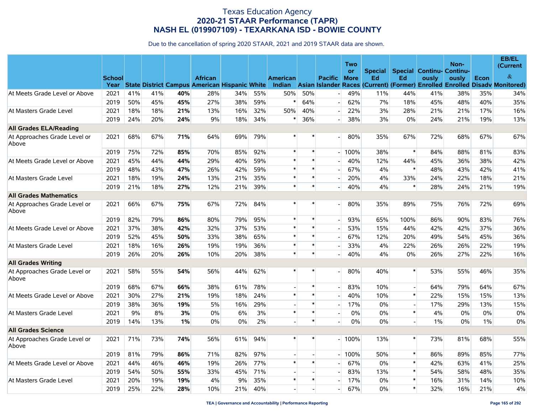|                                       |                       |     |     |     |                                                                        |     |     |                           |        |                | <b>Two</b>               |                      |                                        |       | Non-  |      | <b>EB/EL</b><br>(Current                                                            |
|---------------------------------------|-----------------------|-----|-----|-----|------------------------------------------------------------------------|-----|-----|---------------------------|--------|----------------|--------------------------|----------------------|----------------------------------------|-------|-------|------|-------------------------------------------------------------------------------------|
|                                       | <b>School</b><br>Year |     |     |     | <b>African</b><br><b>State District Campus American Hispanic White</b> |     |     | <b>American</b><br>Indian |        | <b>Pacific</b> | <b>or</b><br><b>More</b> | <b>Special</b><br>Ed | <b>Special Continu- Continu-</b><br>Ed | ously | ously | Econ | $\&$<br>Asian Islander Races (Current) (Former) Enrolled Enrolled Disady Monitored) |
| At Meets Grade Level or Above         | 2021                  | 41% | 41% | 40% | 28%                                                                    | 34% | 55% | 50%                       | 50%    |                | 49%                      | 11%                  | 44%                                    | 41%   | 38%   | 35%  | 34%                                                                                 |
|                                       | 2019                  | 50% | 45% | 45% | 27%                                                                    | 38% | 59% |                           | 64%    |                | 62%                      | 7%                   | 18%                                    | 45%   | 48%   | 40%  | 35%                                                                                 |
| At Masters Grade Level                | 2021                  | 18% | 18% | 21% | 13%                                                                    | 16% | 32% | 50%                       | 40%    |                | 22%                      | 3%                   | 28%                                    | 21%   | 21%   | 17%  | 16%                                                                                 |
|                                       | 2019                  | 24% | 20% | 24% | 9%                                                                     | 18% | 34% | $\ast$                    | 36%    | $\overline{a}$ | 38%                      | 3%                   | 0%                                     | 24%   | 21%   | 19%  | 13%                                                                                 |
| <b>All Grades ELA/Reading</b>         |                       |     |     |     |                                                                        |     |     |                           |        |                |                          |                      |                                        |       |       |      |                                                                                     |
| At Approaches Grade Level or<br>Above | 2021                  | 68% | 67% | 71% | 64%                                                                    | 69% | 79% | $\ast$                    |        |                | 80%                      | 35%                  | 67%                                    | 72%   | 68%   | 67%  | 67%                                                                                 |
|                                       | 2019                  | 75% | 72% | 85% | 70%                                                                    | 85% | 92% | $\ast$                    | $\ast$ |                | 100%                     | 38%                  | $\ast$                                 | 84%   | 88%   | 81%  | 83%                                                                                 |
| At Meets Grade Level or Above         | 2021                  | 45% | 44% | 44% | 29%                                                                    | 40% | 59% | $\ast$                    | $\ast$ |                | 40%                      | 12%                  | 44%                                    | 45%   | 36%   | 38%  | 42%                                                                                 |
|                                       | 2019                  | 48% | 43% | 47% | 26%                                                                    | 42% | 59% | $\ast$                    | $\ast$ |                | 67%                      | 4%                   | $\ast$                                 | 48%   | 43%   | 42%  | 41%                                                                                 |
| At Masters Grade Level                | 2021                  | 18% | 19% | 24% | 13%                                                                    | 21% | 35% | $\ast$                    | $\ast$ |                | 20%                      | 4%                   | 33%                                    | 24%   | 22%   | 18%  | 21%                                                                                 |
|                                       | 2019                  | 21% | 18% | 27% | 12%                                                                    | 21% | 39% | $\ast$                    | $\ast$ |                | 40%                      | 4%                   | $\ast$                                 | 28%   | 24%   | 21%  | 19%                                                                                 |
| <b>All Grades Mathematics</b>         |                       |     |     |     |                                                                        |     |     |                           |        |                |                          |                      |                                        |       |       |      |                                                                                     |
| At Approaches Grade Level or<br>Above | 2021                  | 66% | 67% | 75% | 67%                                                                    | 72% | 84% | $\pmb{\ast}$              | $\ast$ |                | 80%                      | 35%                  | 89%                                    | 75%   | 76%   | 72%  | 69%                                                                                 |
|                                       | 2019                  | 82% | 79% | 86% | 80%                                                                    | 79% | 95% | $\pmb{\ast}$              | $\ast$ |                | 93%                      | 65%                  | 100%                                   | 86%   | 90%   | 83%  | 76%                                                                                 |
| At Meets Grade Level or Above         | 2021                  | 37% | 38% | 42% | 32%                                                                    | 37% | 53% | $\ast$                    | $\ast$ |                | 53%                      | 15%                  | 44%                                    | 42%   | 42%   | 37%  | 36%                                                                                 |
|                                       | 2019                  | 52% | 45% | 50% | 33%                                                                    | 38% | 65% | $\ast$                    | $\ast$ |                | 67%                      | 12%                  | 20%                                    | 49%   | 54%   | 45%  | 36%                                                                                 |
| At Masters Grade Level                | 2021                  | 18% | 16% | 26% | 19%                                                                    | 19% | 36% | $\ast$                    | $\ast$ |                | 33%                      | 4%                   | 22%                                    | 26%   | 26%   | 22%  | 19%                                                                                 |
|                                       | 2019                  | 26% | 20% | 26% | 10%                                                                    | 20% | 38% | $\ast$                    | $\ast$ |                | 40%                      | 4%                   | 0%                                     | 26%   | 27%   | 22%  | 16%                                                                                 |
| <b>All Grades Writing</b>             |                       |     |     |     |                                                                        |     |     |                           |        |                |                          |                      |                                        |       |       |      |                                                                                     |
| At Approaches Grade Level or<br>Above | 2021                  | 58% | 55% | 54% | 56%                                                                    | 44% | 62% | $\ast$                    | $\ast$ |                | 80%                      | 40%                  | $\ast$                                 | 53%   | 55%   | 46%  | 35%                                                                                 |
|                                       | 2019                  | 68% | 67% | 66% | 38%                                                                    | 61% | 78% |                           | $\ast$ |                | 83%                      | 10%                  | $\overline{\phantom{a}}$               | 64%   | 79%   | 64%  | 67%                                                                                 |
| At Meets Grade Level or Above         | 2021                  | 30% | 27% | 21% | 19%                                                                    | 18% | 24% | $\ast$                    | $\ast$ |                | 40%                      | 10%                  | $\ast$                                 | 22%   | 15%   | 15%  | 13%                                                                                 |
|                                       | 2019                  | 38% | 36% | 19% | 5%                                                                     | 16% | 29% |                           | $\ast$ |                | 17%                      | $0\%$                | $\overline{a}$                         | 17%   | 29%   | 13%  | 15%                                                                                 |
| At Masters Grade Level                | 2021                  | 9%  | 8%  | 3%  | $0\%$                                                                  | 6%  | 3%  | $\ast$                    | $\ast$ |                | $0\%$                    | $0\%$                | $\pmb{\ast}$                           | 4%    | 0%    | 0%   | 0%                                                                                  |
|                                       | 2019                  | 14% | 13% | 1%  | 0%                                                                     | 0%  | 2%  |                           | $\ast$ | $\overline{a}$ | 0%                       | $0\%$                | $\overline{\phantom{a}}$               | 1%    | 0%    | 1%   | 0%                                                                                  |
| <b>All Grades Science</b>             |                       |     |     |     |                                                                        |     |     |                           |        |                |                          |                      |                                        |       |       |      |                                                                                     |
| At Approaches Grade Level or<br>Above | 2021                  | 71% | 73% | 74% | 56%                                                                    | 61% | 94% | $\ast$                    | $\ast$ |                | 100%                     | 13%                  | $\ast$                                 | 73%   | 81%   | 68%  | 55%                                                                                 |
|                                       | 2019                  | 81% | 79% | 86% | 71%                                                                    | 82% | 97% |                           |        |                | 100%                     | 50%                  | $\ast$                                 | 86%   | 89%   | 85%  | 77%                                                                                 |
| At Meets Grade Level or Above         | 2021                  | 44% | 46% | 46% | 19%                                                                    | 26% | 77% | $\ast$                    | $\ast$ |                | 67%                      | $0\%$                | $\ast$                                 | 42%   | 63%   | 41%  | 25%                                                                                 |
|                                       | 2019                  | 54% | 50% | 55% | 33%                                                                    | 45% | 71% |                           |        | $\overline{a}$ | 83%                      | 13%                  | $\ast$                                 | 54%   | 58%   | 48%  | 35%                                                                                 |
| At Masters Grade Level                | 2021                  | 20% | 19% | 19% | 4%                                                                     | 9%  | 35% |                           | $\ast$ |                | 17%                      | $0\%$                | $\ast$                                 | 16%   | 31%   | 14%  | 10%                                                                                 |
|                                       | 2019                  | 25% | 22% | 28% | 10%                                                                    | 21% | 40% |                           |        |                | 67%                      | $0\%$                | $\ast$                                 | 32%   | 16%   | 21%  | 4%                                                                                  |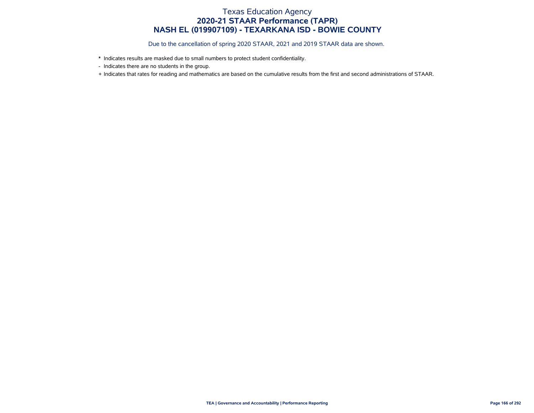- \* Indicates results are masked due to small numbers to protect student confidentiality.
- Indicates there are no students in the group.
- + Indicates that rates for reading and mathematics are based on the cumulative results from the first and second administrations of STAAR.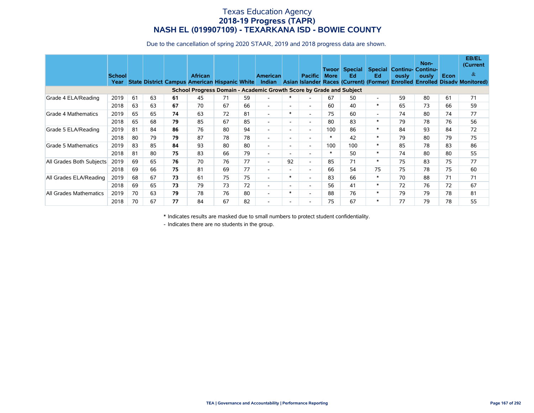#### Texas Education Agency **2018-19 Progress (TAPR) NASH EL (019907109) - TEXARKANA ISD - BOWIE COUNTY**

Due to the cancellation of spring 2020 STAAR, 2019 and 2018 progress data are shown.

|                          | <b>School</b><br>Year |    |    |    | <b>African</b><br>State District Campus American Hispanic White     |    |    | <b>American</b><br><b>Indian</b> |                          | <b>Pacific</b>           | Twoor<br><b>More</b> | Special  <br>Ed<br>Asian Islander Races (Current) (Former) | Ed.                      | ously | Non-<br><b>Special Continu- Continu-</b><br>ously | Econ | <b>EB/EL</b><br>(Current)<br>$\&$<br><b>Enrolled Enrolled Disady Monitored)</b> |
|--------------------------|-----------------------|----|----|----|---------------------------------------------------------------------|----|----|----------------------------------|--------------------------|--------------------------|----------------------|------------------------------------------------------------|--------------------------|-------|---------------------------------------------------|------|---------------------------------------------------------------------------------|
|                          |                       |    |    |    | School Progress Domain - Academic Growth Score by Grade and Subject |    |    |                                  |                          |                          |                      |                                                            |                          |       |                                                   |      |                                                                                 |
| Grade 4 ELA/Reading      | 2019                  | 61 | 63 | 61 | 45                                                                  | 71 | 59 | $\overline{\phantom{a}}$         |                          |                          | 67                   | 50                                                         | $\overline{\phantom{a}}$ | 59    | 80                                                | 61   | 71                                                                              |
|                          | 2018                  | 63 | 63 | 67 | 70                                                                  | 67 | 66 | $\overline{\phantom{a}}$         | $\overline{\phantom{a}}$ | $\overline{\phantom{0}}$ | 60                   | 40                                                         | $\ast$                   | 65    | 73                                                | 66   | 59                                                                              |
| Grade 4 Mathematics      | 2019                  | 65 | 65 | 74 | 63                                                                  | 72 | 81 | $\overline{\phantom{a}}$         | $\ast$                   | $\overline{\phantom{0}}$ | 75                   | 60                                                         | $\overline{\phantom{a}}$ | 74    | 80                                                | 74   | 77                                                                              |
|                          | 2018                  | 65 | 68 | 79 | 85                                                                  | 67 | 85 | $\overline{\phantom{a}}$         | $\overline{\phantom{a}}$ | $\overline{\phantom{0}}$ | 80                   | 83                                                         | $\ast$                   | 79    | 78                                                | 76   | 56                                                                              |
| Grade 5 ELA/Reading      | 2019                  | 81 | 84 | 86 | 76                                                                  | 80 | 94 | $\overline{\phantom{a}}$         | $\sim$                   | $\overline{\phantom{a}}$ | 100                  | 86                                                         | $\ast$                   | 84    | 93                                                | 84   | 72                                                                              |
|                          | 2018                  | 80 | 79 | 79 | 87                                                                  | 78 | 78 | $\overline{\phantom{a}}$         | $\overline{\phantom{a}}$ | $\overline{\phantom{a}}$ | $\ast$               | 42                                                         | $\ast$                   | 79    | 80                                                | 79   | 75                                                                              |
| Grade 5 Mathematics      | 2019                  | 83 | 85 | 84 | 93                                                                  | 80 | 80 | $\overline{\phantom{a}}$         | $\sim$                   | $\overline{\phantom{0}}$ | 100                  | 100                                                        | $*$                      | 85    | 78                                                | 83   | 86                                                                              |
|                          | 2018                  | 81 | 80 | 75 | 83                                                                  | 66 | 79 | $\overline{\phantom{a}}$         | $\sim$                   | $\overline{\phantom{a}}$ | $\ast$               | 50                                                         | $*$                      | 74    | 80                                                | 80   | 55                                                                              |
| All Grades Both Subjects | 2019                  | 69 | 65 | 76 | 70                                                                  | 76 | 77 | $\overline{\phantom{a}}$         | 92                       | $\overline{\phantom{0}}$ | 85                   | 71                                                         | $\ast$                   | 75    | 83                                                | 75   | 77                                                                              |
|                          | 2018                  | 69 | 66 | 75 | 81                                                                  | 69 | 77 | $\overline{\phantom{a}}$         | $\overline{a}$           | $\overline{\phantom{0}}$ | 66                   | 54                                                         | 75                       | 75    | 78                                                | 75   | 60                                                                              |
| All Grades ELA/Reading   | 2019                  | 68 | 67 | 73 | 61                                                                  | 75 | 75 | $\overline{\phantom{a}}$         | $\ast$                   | $\overline{a}$           | 83                   | 66                                                         | $\ast$                   | 70    | 88                                                | 71   | 71                                                                              |
|                          | 2018                  | 69 | 65 | 73 | 79                                                                  | 73 | 72 | $\overline{\phantom{a}}$         | $\overline{\phantom{a}}$ | $\overline{\phantom{0}}$ | 56                   | 41                                                         | $\ast$                   | 72    | 76                                                | 72   | 67                                                                              |
| All Grades Mathematics   | 2019                  | 70 | 63 | 79 | 78                                                                  | 76 | 80 | $\overline{\phantom{a}}$         | $\ast$                   | $\overline{\phantom{0}}$ | 88                   | 76                                                         | $\ast$                   | 79    | 79                                                | 78   | 81                                                                              |
|                          | 2018                  | 70 | 67 | 77 | 84                                                                  | 67 | 82 |                                  | $\overline{\phantom{a}}$ |                          | 75                   | 67                                                         | $\ast$                   | 77    | 79                                                | 78   | 55                                                                              |

\* Indicates results are masked due to small numbers to protect student confidentiality.

- Indicates there are no students in the group.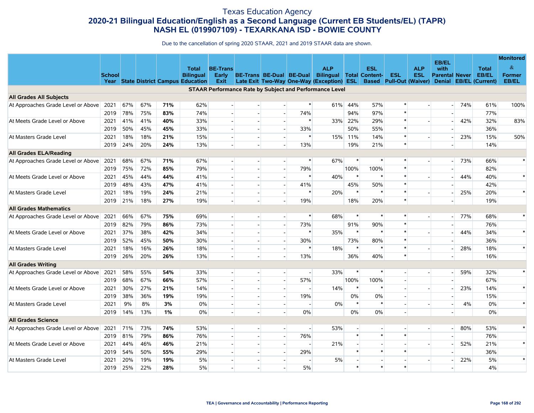### Texas Education Agency **2020-21 Bilingual Education/English as a Second Language (Current EB Students/EL) (TAPR) NASH EL (019907109) - TEXARKANA ISD - BOWIE COUNTY**

|                                    |               |     |     |     |                                             |                          |                          |                |                          |                                                                |                |                          |            |                                |                          |     |                        | <b>Monitored</b> |
|------------------------------------|---------------|-----|-----|-----|---------------------------------------------|--------------------------|--------------------------|----------------|--------------------------|----------------------------------------------------------------|----------------|--------------------------|------------|--------------------------------|--------------------------|-----|------------------------|------------------|
|                                    |               |     |     |     | <b>Total</b>                                | <b>BE-Trans</b>          |                          |                |                          | <b>ALP</b>                                                     |                | <b>ESL</b>               |            | <b>ALP</b>                     | EB/EL<br>with            |     | <b>Total</b>           | $\&$             |
|                                    | <b>School</b> |     |     |     | <b>Bilingual</b>                            | <b>Early</b>             | BE-Trans BE-Dual BE-Dual |                |                          | <b>Bilingual Total Content-</b>                                |                |                          | <b>ESL</b> | <b>ESL</b>                     | <b>Parental Never</b>    |     | EB/EL                  | <b>Former</b>    |
|                                    |               |     |     |     | <b>Year State District Campus Education</b> | Exit                     |                          |                |                          | Late Exit Two-Way One-Way (Exception) ESL                      |                |                          |            | <b>Based</b> Pull-Out (Waiver) | <b>Denial</b>            |     | <b>EB/EL (Current)</b> | EB/EL            |
| <b>All Grades All Subjects</b>     |               |     |     |     |                                             |                          |                          |                |                          | <b>STAAR Performance Rate by Subject and Performance Level</b> |                |                          |            |                                |                          |     |                        |                  |
| At Approaches Grade Level or Above | 2021          | 67% | 67% | 71% | 62%                                         | $\mathbf{r}$             |                          |                | $\ast$                   | 61%                                                            | 44%            | 57%                      |            | $\overline{a}$                 | $\overline{\phantom{a}}$ | 74% | 61%                    | 100%             |
|                                    | 2019          | 78% | 75% | 83% | 74%                                         | $\overline{a}$           | $\overline{a}$           | $\overline{a}$ | 74%                      |                                                                | 94%            | 97%                      |            |                                |                          |     | 77%                    |                  |
| At Meets Grade Level or Above      | 2021          | 41% | 41% | 40% | 33%                                         | $\overline{a}$           | $\overline{a}$           | $\sim$         | $\ast$                   | 33%                                                            | 22%            | 29%                      |            |                                |                          | 42% | 32%                    | 83%              |
|                                    | 2019          | 50% | 45% | 45% | 33%                                         |                          |                          | $\blacksquare$ | 33%                      |                                                                | 50%            | 55%                      |            |                                |                          |     | 36%                    |                  |
| At Masters Grade Level             | 2021          | 18% | 18% | 21% | 15%                                         |                          |                          |                | $\ast$                   |                                                                | 15% 11%        | 14%                      |            |                                |                          | 23% | 15%                    | 50%              |
|                                    | 2019          | 24% | 20% | 24% | 13%                                         | $\overline{a}$           | u.                       |                | 13%                      |                                                                | 19%            | 21%                      | $\ast$     |                                |                          |     | 14%                    |                  |
| All Grades ELA/Reading             |               |     |     |     |                                             |                          |                          |                |                          |                                                                |                |                          |            |                                |                          |     |                        |                  |
| At Approaches Grade Level or Above | 2021          | 68% | 67% | 71% | 67%                                         | $\overline{\phantom{a}}$ | $\overline{\phantom{a}}$ |                | $\ast$                   | 67%                                                            | $\ast$         |                          |            | $\overline{\phantom{a}}$       | $\overline{\phantom{a}}$ | 73% | 66%                    | $\ast$           |
|                                    | 2019          | 75% | 72% | 85% | 79%                                         |                          |                          |                | 79%                      |                                                                | 100%           | 100%                     |            |                                |                          |     | 82%                    |                  |
| At Meets Grade Level or Above      | 2021          | 45% | 44% | 44% | 41%                                         | $\overline{a}$           | $\overline{a}$           | $\overline{a}$ | $\ast$                   | 40%                                                            | $\ast$         | $\ast$                   |            |                                |                          | 44% | 40%                    | $\ast$           |
|                                    | 2019          | 48% | 43% | 47% | 41%                                         | $\sim$                   |                          | $\sim$         | 41%                      |                                                                | 45%            | 50%                      |            |                                |                          |     | 42%                    |                  |
| At Masters Grade Level             | 2021          | 18% | 19% | 24% | 21%                                         |                          |                          |                | $\ast$                   | 20%                                                            | $\ast$         |                          |            |                                |                          | 25% | 20%                    | $\ast$           |
|                                    | 2019          | 21% | 18% | 27% | 19%                                         | $\overline{a}$           | $\overline{a}$           |                | 19%                      |                                                                | 18%            | 20%                      | $\ast$     |                                |                          |     | 19%                    |                  |
| <b>All Grades Mathematics</b>      |               |     |     |     |                                             |                          |                          |                |                          |                                                                |                |                          |            |                                |                          |     |                        |                  |
| At Approaches Grade Level or Above | 2021          | 66% | 67% | 75% | 69%                                         | $\overline{\phantom{a}}$ | $\overline{\phantom{a}}$ |                | $\ast$                   | 68%                                                            | $\ast$         | $\ast$                   |            |                                |                          | 77% | 68%                    | $\ast$           |
|                                    | 2019          | 82% | 79% | 86% | 73%                                         |                          |                          |                | 73%                      |                                                                | 91%            | 90%                      |            |                                |                          |     | 76%                    |                  |
| At Meets Grade Level or Above      | 2021          | 37% | 38% | 42% | 34%                                         | $\sim$ $\overline{ }$    | $\sim$                   | $\sim$         | $\ast$                   | 35%                                                            | $\ast$         | $\ast$                   |            |                                |                          | 44% | 34%                    | $\ast$           |
|                                    | 2019          | 52% | 45% | 50% | 30%                                         | $\sim$                   | $\overline{a}$           | $\blacksquare$ | 30%                      |                                                                | 73%            | 80%                      |            |                                |                          |     | 36%                    |                  |
| At Masters Grade Level             | 2021          | 18% | 16% | 26% | 18%                                         |                          |                          |                | $\ast$                   | 18%                                                            | $\ast$         |                          |            |                                |                          | 28% | 18%                    | $\ast$           |
|                                    | 2019          | 26% | 20% | 26% | 13%                                         |                          |                          |                | 13%                      |                                                                | 36%            | 40%                      |            |                                |                          |     | 16%                    |                  |
| <b>All Grades Writing</b>          |               |     |     |     |                                             |                          |                          |                |                          |                                                                |                |                          |            |                                |                          |     |                        |                  |
| At Approaches Grade Level or Above | 2021          | 58% | 55% | 54% | 33%                                         | $\overline{\phantom{a}}$ |                          | $\sim$         | $\overline{\phantom{a}}$ | 33%                                                            | $\ast$         | $\ast$                   |            |                                |                          | 59% | 32%                    | $\ast$           |
|                                    | 2019          | 68% | 67% | 66% | 57%                                         |                          |                          |                | 57%                      |                                                                | 100%           | 100%                     |            |                                |                          |     | 67%                    |                  |
| At Meets Grade Level or Above      | 2021          | 30% | 27% | 21% | 14%                                         |                          |                          |                |                          | 14%                                                            | $\ast$         |                          |            |                                |                          | 23% | 14%                    | $\ast$           |
|                                    | 2019          | 38% | 36% | 19% | 19%                                         | $\sim$                   | $\blacksquare$           | $\sim$         | 19%                      |                                                                | 0%             | 0%                       |            |                                |                          |     | 15%                    |                  |
| At Masters Grade Level             | 2021          | 9%  | 8%  | 3%  | 0%                                          | $\sim$                   | $\overline{\phantom{a}}$ | $\sim$         |                          | 0%                                                             | $\ast$         | $\ast$                   |            |                                |                          | 4%  | 0%                     | $\ast$           |
|                                    | 2019          | 14% | 13% | 1%  | 0%                                          |                          |                          |                | 0%                       |                                                                | 0%             | 0%                       |            |                                |                          |     | $0\%$                  |                  |
| <b>All Grades Science</b>          |               |     |     |     |                                             |                          |                          |                |                          |                                                                |                |                          |            |                                |                          |     |                        |                  |
| At Approaches Grade Level or Above | 2021          | 71% | 73% | 74% | 53%                                         | $\overline{a}$           | $\overline{\phantom{a}}$ | $\sim$         | $\blacksquare$           | 53%                                                            | $\blacksquare$ | $\overline{\phantom{a}}$ |            | $\overline{\phantom{a}}$       |                          | 80% | 53%                    | $\ast$           |
|                                    | 2019          | 81% | 79% | 86% | 76%                                         | $\overline{\phantom{a}}$ | $\overline{a}$           |                | 76%                      |                                                                | $\ast$         | $\ast$                   |            |                                |                          |     | 76%                    |                  |
| At Meets Grade Level or Above      | 2021          | 44% | 46% | 46% | 21%                                         |                          | $\overline{a}$           |                |                          | 21%                                                            |                |                          |            |                                |                          | 52% | 21%                    | $\ast$           |
|                                    | 2019          | 54% | 50% | 55% | 29%                                         | $\overline{a}$           | $\sim$                   | $\overline{a}$ | 29%                      |                                                                | $\ast$         | $\ast$                   |            |                                |                          |     | 36%                    |                  |
| At Masters Grade Level             | 2021          | 20% | 19% | 19% | 5%                                          | $\overline{\phantom{a}}$ | $\overline{\phantom{a}}$ |                |                          | 5%                                                             | $\blacksquare$ |                          |            |                                |                          | 22% | 5%                     | $\ast$           |
|                                    | 2019          | 25% | 22% | 28% | 5%                                          |                          |                          |                | 5%                       |                                                                | $\ast$         | $\ast$                   |            |                                |                          |     | 4%                     |                  |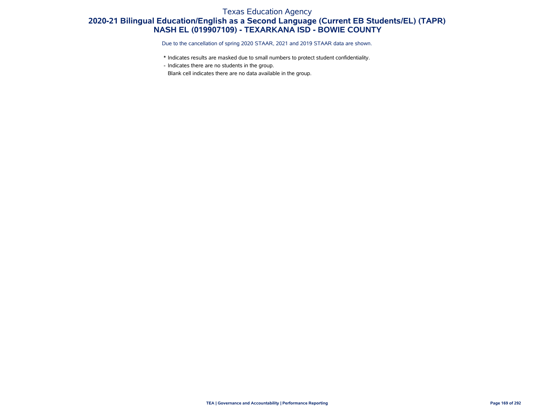### Texas Education Agency **2020-21 Bilingual Education/English as a Second Language (Current EB Students/EL) (TAPR) NASH EL (019907109) - TEXARKANA ISD - BOWIE COUNTY**

Due to the cancellation of spring 2020 STAAR, 2021 and 2019 STAAR data are shown.

- \* Indicates results are masked due to small numbers to protect student confidentiality.
- Indicates there are no students in the group.

Blank cell indicates there are no data available in the group.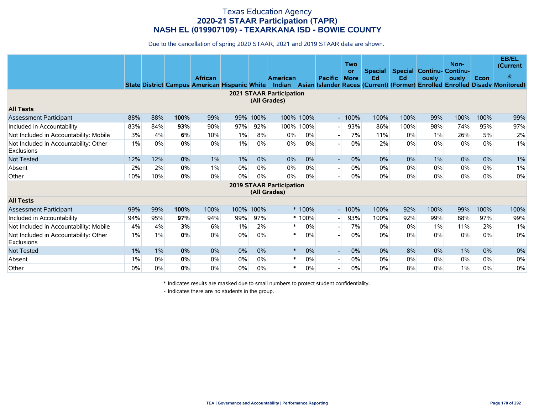Due to the cancellation of spring 2020 STAAR, 2021 and 2019 STAAR data are shown.

|                                                            |       |     |      | <b>African</b> |       |           | <b>American</b>                                 |           | <b>Pacific</b>           | <b>Two</b><br>or<br><b>More</b> | <b>Special</b><br>Ed | Ed    | <b>Special Continu- Continu-</b><br>ously | Non-<br>ously | Econ  | <b>EB/EL</b><br>(Current<br>$\alpha$<br>State District Campus American Hispanic White Indian Asian Islander Races (Current) (Former) Enrolled Enrolled Disady Monitored) |
|------------------------------------------------------------|-------|-----|------|----------------|-------|-----------|-------------------------------------------------|-----------|--------------------------|---------------------------------|----------------------|-------|-------------------------------------------|---------------|-------|--------------------------------------------------------------------------------------------------------------------------------------------------------------------------|
|                                                            |       |     |      |                |       |           | <b>2021 STAAR Participation</b><br>(All Grades) |           |                          |                                 |                      |       |                                           |               |       |                                                                                                                                                                          |
| <b>All Tests</b>                                           |       |     |      |                |       |           |                                                 |           |                          |                                 |                      |       |                                           |               |       |                                                                                                                                                                          |
| <b>Assessment Participant</b>                              | 88%   | 88% | 100% | 99%            | 99%   | 100%      |                                                 | 100% 100% |                          | $-100%$                         | 100%                 | 100%  | 99%                                       | 100%          | 100%  | 99%                                                                                                                                                                      |
| Included in Accountability                                 | 83%   | 84% | 93%  | 90%            | 97%   | 92%       | 100%                                            | 100%      |                          | 93%                             | 86%                  | 100%  | 98%                                       | 74%           | 95%   | 97%                                                                                                                                                                      |
| Not Included in Accountability: Mobile                     | 3%    | 4%  | 6%   | 10%            | 1%    | 8%        | 0%                                              | 0%        | $\overline{\phantom{a}}$ | 7%                              | 11%                  | 0%    | 1%                                        | 26%           | 5%    | 2%                                                                                                                                                                       |
| Not Included in Accountability: Other<br><b>Exclusions</b> | 1%    | 0%  | 0%   | 0%             | 1%    | 0%        | 0%                                              | 0%        |                          | $0\%$                           | 2%                   | 0%    | 0%                                        | 0%            | $0\%$ | $1\%$                                                                                                                                                                    |
| <b>Not Tested</b>                                          | 12%   | 12% | 0%   | $1\%$          | $1\%$ | 0%        | 0%                                              | 0%        | $\overline{\phantom{0}}$ | 0%                              | 0%                   | 0%    | $1\%$                                     | 0%            | 0%    | 1%                                                                                                                                                                       |
| Absent                                                     | 2%    | 2%  | 0%   | $1\%$          | 0%    | $0\%$     | $0\%$                                           | 0%        | $\overline{\phantom{a}}$ | $0\%$                           | $0\%$                | 0%    | $0\%$                                     | 0%            | 0%    | 1%                                                                                                                                                                       |
| Other                                                      | 10%   | 10% | 0%   | 0%             | 0%    | 0%        | $0\%$                                           | 0%        |                          | 0%                              | $0\%$                | 0%    | 0%                                        | 0%            | 0%    | 0%                                                                                                                                                                       |
|                                                            |       |     |      |                |       |           | <b>2019 STAAR Participation</b><br>(All Grades) |           |                          |                                 |                      |       |                                           |               |       |                                                                                                                                                                          |
| <b>All Tests</b>                                           |       |     |      |                |       |           |                                                 |           |                          |                                 |                      |       |                                           |               |       |                                                                                                                                                                          |
| <b>Assessment Participant</b>                              | 99%   | 99% | 100% | 100%           |       | 100% 100% |                                                 | * 100%    |                          | $-100%$                         | 100%                 | 92%   | 100%                                      | 99%           | 100%  | 100%                                                                                                                                                                     |
| Included in Accountability                                 | 94%   | 95% | 97%  | 94%            | 99%   | 97%       |                                                 | $*100%$   | $\overline{\phantom{0}}$ | 93%                             | 100%                 | 92%   | 99%                                       | 88%           | 97%   | 99%                                                                                                                                                                      |
| Not Included in Accountability: Mobile                     | 4%    | 4%  | 3%   | 6%             | 1%    | 2%        | $\ast$                                          | 0%        | $\overline{\phantom{a}}$ | 7%                              | 0%                   | $0\%$ | $1\%$                                     | 11%           | 2%    | 1%                                                                                                                                                                       |
| Not Included in Accountability: Other<br><b>Exclusions</b> | 1%    | 1%  | 0%   | 0%             | 0%    | 0%        |                                                 | 0%        |                          | $0\%$                           | 0%                   | 0%    | 0%                                        | 0%            | $0\%$ | 0%                                                                                                                                                                       |
| <b>Not Tested</b>                                          | $1\%$ | 1%  | 0%   | 0%             | 0%    | 0%        | $\ast$                                          | 0%        | $\overline{\phantom{a}}$ | 0%                              | $0\%$                | 8%    | 0%                                        | $1\%$         | 0%    | 0%                                                                                                                                                                       |
| Absent                                                     | 1%    | 0%  | 0%   | 0%             | 0%    | 0%        | $\ast$                                          | 0%        | $\overline{\phantom{a}}$ | $0\%$                           | 0%                   | $0\%$ | 0%                                        | 0%            | $0\%$ | 0%                                                                                                                                                                       |
| Other                                                      | $0\%$ | 0%  | 0%   | 0%             | 0%    | 0%        | $\ast$                                          | 0%        |                          | 0%                              | 0%                   | 8%    | 0%                                        | 1%            | 0%    | 0%                                                                                                                                                                       |

\* Indicates results are masked due to small numbers to protect student confidentiality.

- Indicates there are no students in the group.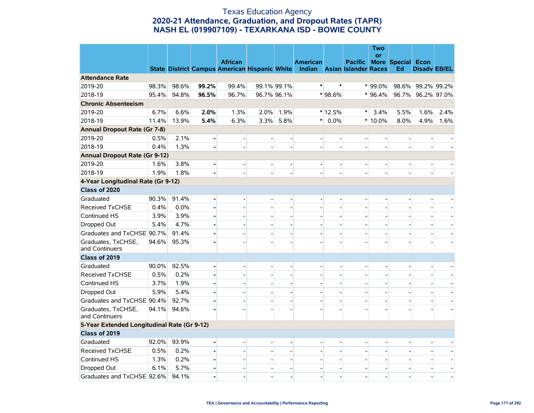#### Texas Education Agency **2020-21 Attendance, Graduation, and Dropout Rates (TAPR) NASH EL (019907109) - TEXARKANA ISD - BOWIE COUNTY**

|                                             |       |       |                | <b>African</b>                                       |                          |                          | <b>American</b>             |                          | <b>Pacific</b> | <b>Two</b><br><b>or</b>  | <b>More Special Econ</b>     |                          |      |
|---------------------------------------------|-------|-------|----------------|------------------------------------------------------|--------------------------|--------------------------|-----------------------------|--------------------------|----------------|--------------------------|------------------------------|--------------------------|------|
|                                             |       |       |                | <b>State District Campus American Hispanic White</b> |                          |                          | Indian Asian Islander Races |                          |                |                          | Ed                           | <b>Disady EB/EL</b>      |      |
| <b>Attendance Rate</b>                      |       |       |                |                                                      |                          |                          |                             |                          |                |                          |                              |                          |      |
| 2019-20                                     | 98.3% | 98.6% | 99.2%          | 99.4%                                                |                          | 99.1% 99.1%              | $\ast$                      | $\ast$                   |                | $*99.0\%$                |                              | 98.6% 99.2% 99.2%        |      |
| 2018-19                                     | 95.4% | 94.8% | 96.5%          | 96.7%                                                |                          | 96.7% 96.1%              |                             | * 98.6%                  |                | $*$ 96.4%                |                              | 96.7% 96.2% 97.0%        |      |
| <b>Chronic Absenteeism</b>                  |       |       |                |                                                      |                          |                          |                             |                          |                |                          |                              |                          |      |
| 2019-20                                     | 6.7%  | 6.6%  | 2.0%           | 1.3%                                                 | 2.0%                     | 1.9%                     |                             | $*12.5%$                 | $\ast$         | 3.4%                     | 5.5%                         | 1.6%                     | 2.4% |
| 2018-19                                     | 11.4% | 13.9% | 5.4%           | 6.3%                                                 | 3.3%                     | 5.8%                     | $\ast$                      | 0.0%                     |                | $*10.0\%$                | 8.0%                         | 4.9%                     | 1.6% |
| <b>Annual Dropout Rate (Gr 7-8)</b>         |       |       |                |                                                      |                          |                          |                             |                          |                |                          |                              |                          |      |
| 2019-20                                     | 0.5%  | 2.1%  |                | $\overline{a}$                                       | $\overline{\phantom{a}}$ |                          | $\overline{\phantom{a}}$    |                          | $\overline{a}$ | $\overline{a}$           | $\overline{\phantom{a}}$     | $\blacksquare$           |      |
| 2018-19                                     | 0.4%  | 1.3%  |                |                                                      | $\overline{\phantom{a}}$ |                          |                             | $\overline{\phantom{a}}$ |                |                          | $\overline{\phantom{0}}$     |                          |      |
| <b>Annual Dropout Rate (Gr 9-12)</b>        |       |       |                |                                                      |                          |                          |                             |                          |                |                          |                              |                          |      |
| 2019-20                                     | 1.6%  | 3.8%  |                |                                                      | $\overline{\phantom{a}}$ |                          | $\overline{a}$              |                          |                |                          | $\qquad \qquad \blacksquare$ |                          |      |
| 2018-19                                     | 1.9%  | 1.8%  |                |                                                      | $\overline{\phantom{a}}$ |                          |                             |                          |                |                          | $\blacksquare$               |                          |      |
| 4-Year Longitudinal Rate (Gr 9-12)          |       |       |                |                                                      |                          |                          |                             |                          |                |                          |                              |                          |      |
| Class of 2020                               |       |       |                |                                                      |                          |                          |                             |                          |                |                          |                              |                          |      |
| Graduated                                   | 90.3% | 91.4% | $\blacksquare$ | $\overline{a}$                                       | $\frac{1}{2}$            |                          | $\frac{1}{2}$               | L,                       |                | $\overline{a}$           | $\overline{\phantom{0}}$     |                          |      |
| Received TxCHSE                             | 0.4%  | 0.0%  |                |                                                      | $\overline{\phantom{a}}$ |                          |                             |                          |                |                          | $\overline{\phantom{0}}$     |                          |      |
| Continued HS                                | 3.9%  | 3.9%  |                |                                                      | $\overline{\phantom{0}}$ |                          |                             |                          |                |                          | $\qquad \qquad -$            |                          |      |
| Dropped Out                                 | 5.4%  | 4.7%  |                | $\overline{a}$                                       | $\overline{\phantom{a}}$ |                          |                             |                          |                |                          | $\blacksquare$               |                          |      |
| Graduates and TxCHSE 90.7%                  |       | 91.4% |                |                                                      | $\overline{a}$           |                          |                             |                          |                |                          |                              |                          |      |
| Graduates, TxCHSE,<br>and Continuers        | 94.6% | 95.3% |                |                                                      |                          |                          |                             |                          |                |                          |                              |                          |      |
| Class of 2019                               |       |       |                |                                                      |                          |                          |                             |                          |                |                          |                              |                          |      |
| Graduated                                   | 90.0% | 92.5% |                |                                                      | $\overline{a}$           | $\overline{\phantom{a}}$ | $\overline{\phantom{a}}$    | $\overline{\phantom{a}}$ |                | $\overline{\phantom{a}}$ | $\blacksquare$               | $\overline{\phantom{a}}$ |      |
| <b>Received TxCHSE</b>                      | 0.5%  | 0.2%  | $\blacksquare$ | $\overline{a}$                                       | $\overline{\phantom{a}}$ | $\overline{a}$           | $\overline{a}$              | $\overline{\phantom{a}}$ |                | $\overline{a}$           | $\overline{\phantom{a}}$     | $\overline{\phantom{0}}$ |      |
| Continued HS                                | 3.7%  | 1.9%  | ÷              | $\overline{a}$                                       | $\overline{a}$           |                          | $\overline{\phantom{a}}$    |                          |                | $\overline{\phantom{a}}$ | $\overline{a}$               | $\overline{\phantom{a}}$ |      |
| Dropped Out                                 | 5.9%  | 5.4%  |                |                                                      | L,                       |                          |                             |                          |                |                          |                              |                          |      |
| Graduates and TxCHSE 90.4%                  |       | 92.7% |                |                                                      |                          |                          |                             |                          |                |                          | $\overline{a}$               |                          |      |
| Graduates, TxCHSE,<br>and Continuers        | 94.1% | 94.6% |                |                                                      |                          |                          |                             |                          |                |                          |                              |                          |      |
| 5-Year Extended Longitudinal Rate (Gr 9-12) |       |       |                |                                                      |                          |                          |                             |                          |                |                          |                              |                          |      |
| Class of 2019                               |       |       |                |                                                      |                          |                          |                             |                          |                |                          |                              |                          |      |
| Graduated                                   | 92.0% | 93.9% | $\blacksquare$ |                                                      | $\overline{\phantom{0}}$ |                          | $\overline{a}$              |                          |                | $\overline{a}$           |                              |                          |      |
| <b>Received TxCHSE</b>                      | 0.5%  | 0.2%  | ÷              |                                                      |                          |                          |                             |                          |                |                          |                              |                          |      |
| Continued HS                                | 1.3%  | 0.2%  |                |                                                      | $\blacksquare$           |                          |                             |                          |                |                          | $\overline{\phantom{0}}$     |                          |      |
| Dropped Out                                 | 6.1%  | 5.7%  |                |                                                      | $\overline{a}$           |                          |                             | $\overline{a}$           |                | $\overline{a}$           | $\overline{\phantom{0}}$     |                          |      |
| Graduates and TxCHSE 92.6%                  |       | 94.1% |                | $\overline{a}$                                       | $\overline{a}$           |                          | $\overline{a}$              | $\overline{a}$           |                | $\overline{a}$           | $\overline{a}$               |                          |      |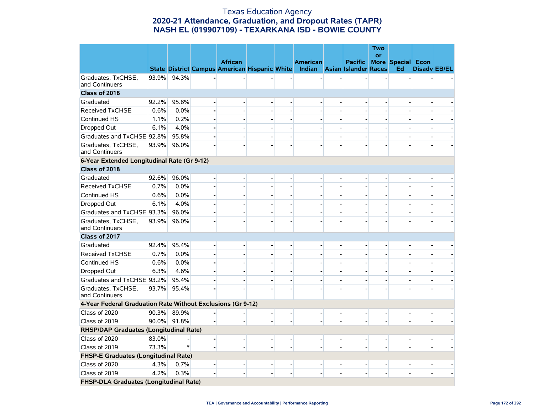#### Texas Education Agency **2020-21 Attendance, Graduation, and Dropout Rates (TAPR) NASH EL (019907109) - TEXARKANA ISD - BOWIE COUNTY**

|                                                             |       |             |                                                                           |                          |                          |                | <b>Two</b><br><b>or</b> |                          |                     |        |
|-------------------------------------------------------------|-------|-------------|---------------------------------------------------------------------------|--------------------------|--------------------------|----------------|-------------------------|--------------------------|---------------------|--------|
|                                                             |       |             | <b>African</b>                                                            |                          | <b>American</b>          | <b>Pacific</b> |                         | <b>More Special Econ</b> |                     |        |
|                                                             |       |             | State District Campus American Hispanic White Indian Asian Islander Races |                          |                          |                |                         | Ed                       | <b>Disady EB/EL</b> |        |
| Graduates, TxCHSE,<br>and Continuers                        | 93.9% | 94.3%       |                                                                           |                          |                          |                |                         |                          |                     |        |
| Class of 2018                                               |       |             |                                                                           |                          |                          |                |                         |                          |                     |        |
| Graduated                                                   | 92.2% | 95.8%       |                                                                           |                          |                          |                |                         |                          |                     |        |
| <b>Received TxCHSE</b>                                      | 0.6%  | 0.0%        |                                                                           |                          |                          |                |                         |                          |                     |        |
| Continued HS                                                | 1.1%  | 0.2%        |                                                                           |                          |                          |                |                         |                          |                     |        |
| Dropped Out                                                 | 6.1%  | 4.0%        |                                                                           | $\overline{\phantom{0}}$ |                          |                |                         | $\overline{\phantom{a}}$ |                     |        |
| Graduates and TxCHSE 92.8%                                  |       | 95.8%       |                                                                           |                          |                          |                |                         |                          |                     |        |
| Graduates, TxCHSE,<br>and Continuers                        | 93.9% | 96.0%       |                                                                           |                          |                          |                |                         |                          |                     |        |
| 6-Year Extended Longitudinal Rate (Gr 9-12)                 |       |             |                                                                           |                          |                          |                |                         |                          |                     |        |
| Class of 2018                                               |       |             |                                                                           |                          |                          |                |                         |                          |                     |        |
| Graduated                                                   | 92.6% | 96.0%       |                                                                           |                          |                          |                |                         |                          |                     |        |
| <b>Received TxCHSE</b>                                      | 0.7%  | 0.0%        |                                                                           |                          |                          |                |                         |                          |                     |        |
| Continued HS                                                | 0.6%  | 0.0%        |                                                                           |                          |                          |                |                         |                          |                     |        |
| Dropped Out                                                 | 6.1%  | 4.0%        |                                                                           |                          |                          |                |                         |                          |                     |        |
| Graduates and TxCHSE 93.3%                                  |       | 96.0%       |                                                                           |                          |                          |                |                         |                          |                     |        |
| Graduates, TxCHSE,<br>and Continuers                        | 93.9% | 96.0%       |                                                                           |                          |                          |                |                         |                          |                     |        |
| Class of 2017                                               |       |             |                                                                           |                          |                          |                |                         |                          |                     |        |
| Graduated                                                   | 92.4% | 95.4%       |                                                                           | $\overline{\phantom{a}}$ |                          |                |                         |                          |                     |        |
| <b>Received TxCHSE</b>                                      | 0.7%  | 0.0%        |                                                                           |                          |                          |                |                         |                          |                     |        |
| Continued HS                                                | 0.6%  | 0.0%        |                                                                           | $\blacksquare$           |                          |                |                         | $\overline{\phantom{0}}$ |                     | $\sim$ |
| Dropped Out                                                 | 6.3%  | 4.6%        |                                                                           |                          |                          |                |                         |                          |                     |        |
| Graduates and TxCHSE 93.2%                                  |       | 95.4%       |                                                                           |                          |                          |                |                         |                          |                     |        |
| Graduates, TxCHSE,<br>and Continuers                        | 93.7% | 95.4%       |                                                                           |                          |                          |                |                         |                          |                     |        |
| 4-Year Federal Graduation Rate Without Exclusions (Gr 9-12) |       |             |                                                                           |                          |                          |                |                         |                          |                     |        |
| Class of 2020                                               | 90.3% | 89.9%       |                                                                           | $\overline{\phantom{a}}$ | $\overline{\phantom{a}}$ |                |                         | $\overline{\phantom{a}}$ |                     |        |
| Class of 2019                                               |       | 90.0% 91.8% |                                                                           |                          |                          |                |                         |                          |                     |        |
| RHSP/DAP Graduates (Longitudinal Rate)                      |       |             |                                                                           |                          |                          |                |                         |                          |                     |        |
| Class of 2020                                               | 83.0% |             |                                                                           |                          |                          |                |                         | $\overline{a}$           |                     |        |
| Class of 2019                                               | 73.3% | $\star$     |                                                                           | $\overline{a}$           | $\overline{a}$           |                |                         | $\overline{a}$           | $\overline{a}$      |        |
| <b>FHSP-E Graduates (Longitudinal Rate)</b>                 |       |             |                                                                           |                          |                          |                |                         |                          |                     |        |
| Class of 2020                                               | 4.3%  | 0.7%        |                                                                           |                          |                          |                |                         |                          |                     |        |
| Class of 2019                                               | 4.2%  | 0.3%        |                                                                           |                          |                          |                |                         |                          |                     |        |
| <b>FHSP-DLA Graduates (Longitudinal Rate)</b>               |       |             |                                                                           |                          |                          |                |                         |                          |                     |        |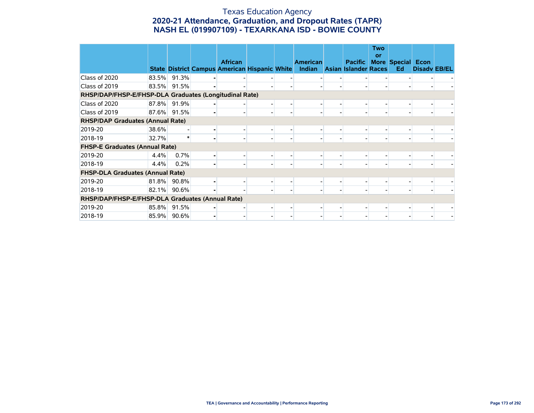#### Texas Education Agency **2020-21 Attendance, Graduation, and Dropout Rates (TAPR) NASH EL (019907109) - TEXARKANA ISD - BOWIE COUNTY**

|                                                        |       |             |                                                                        |                          |                                  |                                        | <b>Two</b><br>or |                                |                     |  |
|--------------------------------------------------------|-------|-------------|------------------------------------------------------------------------|--------------------------|----------------------------------|----------------------------------------|------------------|--------------------------------|---------------------|--|
|                                                        |       |             | <b>African</b><br><b>State District Campus American Hispanic White</b> |                          | <b>American</b><br><b>Indian</b> | <b>Pacific</b><br>Asian Islander Races |                  | <b>More Special Econ</b><br>Ed | <b>Disady EB/EL</b> |  |
| Class of 2020                                          | 83.5% | 91.3%       |                                                                        |                          |                                  |                                        |                  |                                |                     |  |
| Class of 2019                                          | 83.5% | 91.5%       |                                                                        |                          |                                  |                                        |                  |                                |                     |  |
| RHSP/DAP/FHSP-E/FHSP-DLA Graduates (Longitudinal Rate) |       |             |                                                                        |                          |                                  |                                        |                  |                                |                     |  |
| Class of 2020                                          |       | 87.8% 91.9% |                                                                        |                          |                                  |                                        |                  |                                |                     |  |
| Class of 2019                                          | 87.6% | 91.5%       |                                                                        | $\overline{\phantom{0}}$ |                                  |                                        |                  |                                |                     |  |
| <b>RHSP/DAP Graduates (Annual Rate)</b>                |       |             |                                                                        |                          |                                  |                                        |                  |                                |                     |  |
| 2019-20                                                | 38.6% |             |                                                                        |                          |                                  |                                        |                  |                                |                     |  |
| 2018-19                                                | 32.7% |             |                                                                        | $\overline{\phantom{0}}$ |                                  |                                        |                  |                                |                     |  |
| <b>FHSP-E Graduates (Annual Rate)</b>                  |       |             |                                                                        |                          |                                  |                                        |                  |                                |                     |  |
| 2019-20                                                | 4.4%  | 0.7%        |                                                                        |                          |                                  |                                        |                  |                                |                     |  |
| 2018-19                                                | 4.4%  | 0.2%        |                                                                        |                          |                                  |                                        |                  |                                |                     |  |
| <b>FHSP-DLA Graduates (Annual Rate)</b>                |       |             |                                                                        |                          |                                  |                                        |                  |                                |                     |  |
| 2019-20                                                | 81.8% | 90.8%       |                                                                        |                          |                                  |                                        |                  |                                |                     |  |
| 2018-19                                                | 82.1% | 90.6%       |                                                                        |                          |                                  |                                        |                  |                                |                     |  |
| RHSP/DAP/FHSP-E/FHSP-DLA Graduates (Annual Rate)       |       |             |                                                                        |                          |                                  |                                        |                  |                                |                     |  |
| 2019-20                                                | 85.8% | 91.5%       |                                                                        |                          |                                  |                                        |                  |                                |                     |  |
| 2018-19                                                |       | 85.9% 90.6% |                                                                        |                          |                                  |                                        |                  |                                |                     |  |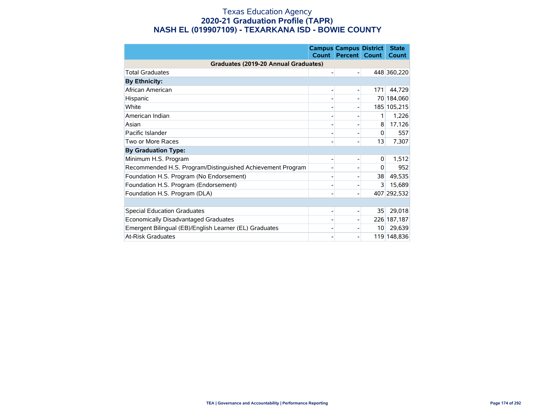#### Texas Education Agency **2020-21 Graduation Profile (TAPR) NASH EL (019907109) - TEXARKANA ISD - BOWIE COUNTY**

|                                                            | Count | <b>Campus Campus District</b><br><b>Percent</b> | Count           | <b>State</b><br>Count |
|------------------------------------------------------------|-------|-------------------------------------------------|-----------------|-----------------------|
| Graduates (2019-20 Annual Graduates)                       |       |                                                 |                 |                       |
| <b>Total Graduates</b>                                     |       |                                                 |                 | 448 360,220           |
| <b>By Ethnicity:</b>                                       |       |                                                 |                 |                       |
| African American                                           |       |                                                 | 171             | 44,729                |
| Hispanic                                                   |       |                                                 |                 | 70 184,060            |
| White                                                      |       |                                                 |                 | 185 105,215           |
| American Indian                                            |       |                                                 | 1               | 1,226                 |
| Asian                                                      |       |                                                 | 8               | 17,126                |
| Pacific Islander                                           |       |                                                 | $\Omega$        | 557                   |
| Two or More Races                                          |       |                                                 | 13              | 7,307                 |
| <b>By Graduation Type:</b>                                 |       |                                                 |                 |                       |
| Minimum H.S. Program                                       |       |                                                 | 0               | 1,512                 |
| Recommended H.S. Program/Distinguished Achievement Program |       |                                                 | $\mathbf{0}$    | 952                   |
| Foundation H.S. Program (No Endorsement)                   |       |                                                 | 38              | 49,535                |
| Foundation H.S. Program (Endorsement)                      |       |                                                 | $\overline{3}$  | 15,689                |
| Foundation H.S. Program (DLA)                              |       |                                                 |                 | 407 292,532           |
|                                                            |       |                                                 |                 |                       |
| <b>Special Education Graduates</b>                         |       |                                                 | 35              | 29,018                |
| Economically Disadvantaged Graduates                       |       |                                                 |                 | 226 187,187           |
| Emergent Bilingual (EB)/English Learner (EL) Graduates     |       |                                                 | 10 <sup>1</sup> | 29,639                |
| <b>At-Risk Graduates</b>                                   |       |                                                 |                 | 119 148,836           |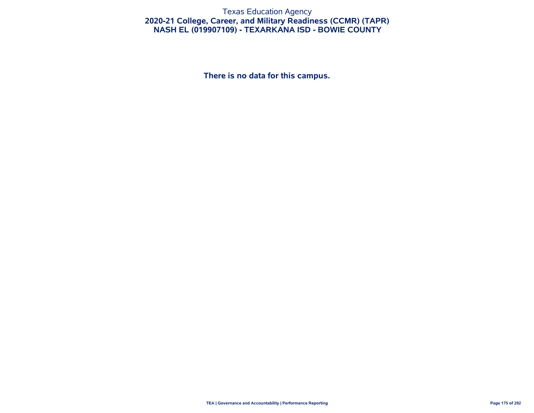#### Texas Education Agency **2020-21 College, Career, and Military Readiness (CCMR) (TAPR) NASH EL (019907109) - TEXARKANA ISD - BOWIE COUNTY**

**There is no data for this campus.**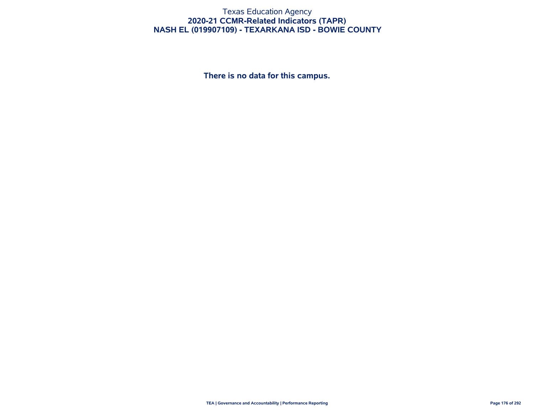#### Texas Education Agency **2020-21 CCMR-Related Indicators (TAPR) NASH EL (019907109) - TEXARKANA ISD - BOWIE COUNTY**

**There is no data for this campus.**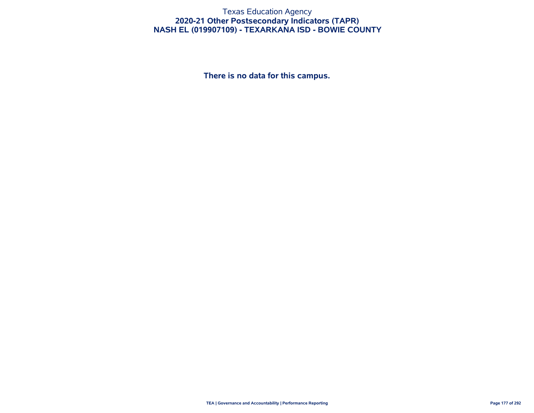#### Texas Education Agency **2020-21 Other Postsecondary Indicators (TAPR) NASH EL (019907109) - TEXARKANA ISD - BOWIE COUNTY**

**There is no data for this campus.**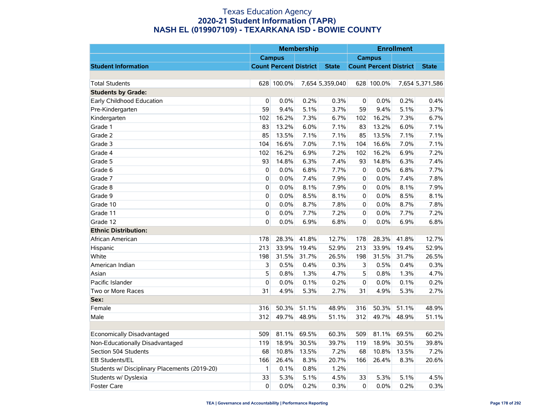|                                               |          |                               | <b>Membership</b> |                 |                |                               | <b>Enrollment</b> |                 |
|-----------------------------------------------|----------|-------------------------------|-------------------|-----------------|----------------|-------------------------------|-------------------|-----------------|
|                                               |          | <b>Campus</b>                 |                   |                 |                | <b>Campus</b>                 |                   |                 |
| <b>Student Information</b>                    |          | <b>Count Percent District</b> |                   | <b>State</b>    |                | <b>Count Percent District</b> |                   | <b>State</b>    |
|                                               |          |                               |                   |                 |                |                               |                   |                 |
| <b>Total Students</b>                         |          | 628 100.0%                    |                   | 7,654 5,359,040 |                | 628 100.0%                    |                   | 7,654 5,371,586 |
| <b>Students by Grade:</b>                     |          |                               |                   |                 |                |                               |                   |                 |
| Early Childhood Education                     | 0        | 0.0%                          | 0.2%              | 0.3%            | 0              | 0.0%                          | 0.2%              | 0.4%            |
| Pre-Kindergarten                              | 59       | 9.4%                          | 5.1%              | 3.7%            | 59             | 9.4%                          | 5.1%              | 3.7%            |
| Kindergarten                                  | 102      | 16.2%                         | 7.3%              | 6.7%            | 102            | 16.2%                         | 7.3%              | 6.7%            |
| Grade 1                                       | 83       | 13.2%                         | 6.0%              | 7.1%            | 83             | 13.2%                         | 6.0%              | 7.1%            |
| Grade 2                                       | 85       | 13.5%                         | 7.1%              | 7.1%            | 85             | 13.5%                         | 7.1%              | 7.1%            |
| Grade 3                                       | 104      | 16.6%                         | 7.0%              | 7.1%            | 104            | 16.6%                         | 7.0%              | 7.1%            |
| Grade 4                                       | 102      | 16.2%                         | 6.9%              | 7.2%            | 102            | 16.2%                         | 6.9%              | 7.2%            |
| Grade 5                                       | 93       | 14.8%                         | 6.3%              | 7.4%            | 93             | 14.8%                         | 6.3%              | 7.4%            |
| Grade 6                                       | 0        | 0.0%                          | 6.8%              | 7.7%            | 0              | 0.0%                          | 6.8%              | 7.7%            |
| Grade 7                                       | 0        | 0.0%                          | 7.4%              | 7.9%            | $\overline{0}$ | 0.0%                          | 7.4%              | 7.8%            |
| Grade 8                                       | 0        | 0.0%                          | 8.1%              | 7.9%            | $\overline{0}$ | 0.0%                          | 8.1%              | 7.9%            |
| Grade 9                                       | 0        | 0.0%                          | 8.5%              | 8.1%            | 0              | 0.0%                          | 8.5%              | 8.1%            |
| Grade 10                                      | 0        | 0.0%                          | 8.7%              | 7.8%            | 0              | 0.0%                          | 8.7%              | 7.8%            |
| Grade 11                                      | 0        | 0.0%                          | 7.7%              | 7.2%            | $\mathbf 0$    | 0.0%                          | 7.7%              | 7.2%            |
| Grade 12                                      | 0        | 0.0%                          | 6.9%              | 6.8%            | $\mathbf 0$    | 0.0%                          | 6.9%              | 6.8%            |
| <b>Ethnic Distribution:</b>                   |          |                               |                   |                 |                |                               |                   |                 |
| African American                              | 178      | 28.3%                         | 41.8%             | 12.7%           | 178            | 28.3%                         | 41.8%             | 12.7%           |
| Hispanic                                      | 213      | 33.9%                         | 19.4%             | 52.9%           | 213            | 33.9%                         | 19.4%             | 52.9%           |
| White                                         | 198      | 31.5%                         | 31.7%             | 26.5%           | 198            | 31.5%                         | 31.7%             | 26.5%           |
| American Indian                               | 3        | 0.5%                          | 0.4%              | 0.3%            | 3              | 0.5%                          | 0.4%              | 0.3%            |
| Asian                                         | 5        | 0.8%                          | 1.3%              | 4.7%            | 5              | 0.8%                          | 1.3%              | 4.7%            |
| Pacific Islander                              | 0        | 0.0%                          | 0.1%              | 0.2%            | $\mathbf 0$    | 0.0%                          | 0.1%              | 0.2%            |
| Two or More Races                             | 31       | 4.9%                          | 5.3%              | 2.7%            | 31             | 4.9%                          | 5.3%              | 2.7%            |
| Sex:                                          |          |                               |                   |                 |                |                               |                   |                 |
| Female                                        | 316      | 50.3%                         | 51.1%             | 48.9%           | 316            | 50.3%                         | 51.1%             | 48.9%           |
| Male                                          | 312      | 49.7%                         | 48.9%             | 51.1%           | 312            | 49.7%                         | 48.9%             | 51.1%           |
|                                               |          |                               |                   |                 |                |                               |                   |                 |
| Economically Disadvantaged                    | 509      | 81.1%                         | 69.5%             | 60.3%           | 509            | 81.1%                         | 69.5%             | 60.2%           |
| Non-Educationally Disadvantaged               | 119      | 18.9%                         | 30.5%             | 39.7%           | 119            | 18.9%                         | 30.5%             | 39.8%           |
| Section 504 Students                          | 68       | 10.8%                         | 13.5%             | 7.2%            | 68             | 10.8%                         | 13.5%             | 7.2%            |
| EB Students/EL                                | 166      | 26.4%                         | 8.3%              | 20.7%           | 166            | 26.4%                         | 8.3%              | 20.6%           |
| Students w/ Disciplinary Placements (2019-20) | 1        | 0.1%                          | 0.8%              | 1.2%            |                |                               |                   |                 |
| Students w/ Dyslexia                          | 33       | 5.3%                          | 5.1%              | 4.5%            | 33             | 5.3%                          | 5.1%              | 4.5%            |
| <b>Foster Care</b>                            | $\Omega$ | 0.0%                          | 0.2%              | 0.3%            | $\Omega$       | 0.0%                          | 0.2%              | 0.3%            |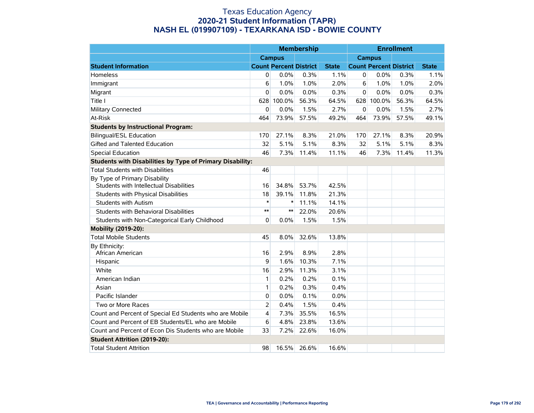|                                                                          |                |                               | <b>Membership</b> |              |             |                               | <b>Enrollment</b> |              |
|--------------------------------------------------------------------------|----------------|-------------------------------|-------------------|--------------|-------------|-------------------------------|-------------------|--------------|
|                                                                          |                | <b>Campus</b>                 |                   |              |             | <b>Campus</b>                 |                   |              |
| <b>Student Information</b>                                               |                | <b>Count Percent District</b> |                   | <b>State</b> |             | <b>Count Percent District</b> |                   | <b>State</b> |
| <b>Homeless</b>                                                          | 0              | 0.0%                          | 0.3%              | 1.1%         | 0           | 0.0%                          | 0.3%              | 1.1%         |
| Immigrant                                                                | 6              | 1.0%                          | 1.0%              | 2.0%         | 6           | 1.0%                          | 1.0%              | 2.0%         |
| Migrant                                                                  | 0              | 0.0%                          | 0.0%              | 0.3%         | $\mathbf 0$ | 0.0%                          | 0.0%              | 0.3%         |
| Title I                                                                  | 628            | 100.0%                        | 56.3%             | 64.5%        | 628         | 100.0%                        | 56.3%             | 64.5%        |
| <b>Military Connected</b>                                                | 0              | 0.0%                          | 1.5%              | 2.7%         | 0           | 0.0%                          | 1.5%              | 2.7%         |
| At-Risk                                                                  | 464            | 73.9%                         | 57.5%             | 49.2%        | 464         | 73.9%                         | 57.5%             | 49.1%        |
| <b>Students by Instructional Program:</b>                                |                |                               |                   |              |             |                               |                   |              |
| <b>Bilingual/ESL Education</b>                                           | 170            | 27.1%                         | 8.3%              | 21.0%        | 170         | 27.1%                         | 8.3%              | 20.9%        |
| Gifted and Talented Education                                            | 32             | 5.1%                          | 5.1%              | 8.3%         | 32          | 5.1%                          | 5.1%              | 8.3%         |
| <b>Special Education</b>                                                 | 46             | 7.3%                          | 11.4%             | 11.1%        | 46          | 7.3%                          | 11.4%             | 11.3%        |
| Students with Disabilities by Type of Primary Disability:                |                |                               |                   |              |             |                               |                   |              |
| <b>Total Students with Disabilities</b>                                  | 46             |                               |                   |              |             |                               |                   |              |
| By Type of Primary Disability<br>Students with Intellectual Disabilities | 16             | 34.8%                         | 53.7%             | 42.5%        |             |                               |                   |              |
| Students with Physical Disabilities                                      | 18             | 39.1%                         | 11.8%             | 21.3%        |             |                               |                   |              |
| <b>Students with Autism</b>                                              | $\ast$         | $\ast$                        | 11.1%             | 14.1%        |             |                               |                   |              |
| Students with Behavioral Disabilities                                    | $**$           | $**$                          | 22.0%             | 20.6%        |             |                               |                   |              |
| Students with Non-Categorical Early Childhood                            | 0              | 0.0%                          | 1.5%              | 1.5%         |             |                               |                   |              |
| Mobility (2019-20):                                                      |                |                               |                   |              |             |                               |                   |              |
| <b>Total Mobile Students</b>                                             | 45             | 8.0%                          | 32.6%             | 13.8%        |             |                               |                   |              |
| By Ethnicity:<br>African American                                        | 16             | 2.9%                          | 8.9%              | 2.8%         |             |                               |                   |              |
| Hispanic                                                                 | 9              | 1.6%                          | 10.3%             | 7.1%         |             |                               |                   |              |
| White                                                                    | 16             | 2.9%                          | 11.3%             | 3.1%         |             |                               |                   |              |
| American Indian                                                          | 1              | 0.2%                          | 0.2%              | 0.1%         |             |                               |                   |              |
| Asian                                                                    | 1              | 0.2%                          | 0.3%              | 0.4%         |             |                               |                   |              |
| Pacific Islander                                                         | 0              | 0.0%                          | 0.1%              | 0.0%         |             |                               |                   |              |
| Two or More Races                                                        | $\overline{2}$ | 0.4%                          | 1.5%              | 0.4%         |             |                               |                   |              |
| Count and Percent of Special Ed Students who are Mobile                  | 4              | 7.3%                          | 35.5%             | 16.5%        |             |                               |                   |              |
| Count and Percent of EB Students/EL who are Mobile                       | 6              | 4.8%                          | 23.8%             | 13.6%        |             |                               |                   |              |
| Count and Percent of Econ Dis Students who are Mobile                    | 33             | 7.2%                          | 22.6%             | 16.0%        |             |                               |                   |              |
| <b>Student Attrition (2019-20):</b>                                      |                |                               |                   |              |             |                               |                   |              |
| <b>Total Student Attrition</b>                                           | 98             | 16.5%                         | 26.6%             | 16.6%        |             |                               |                   |              |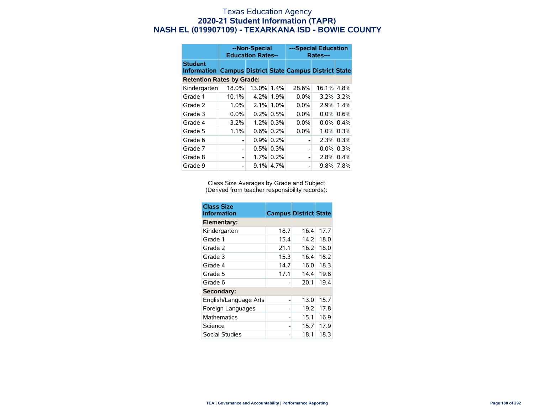|                                                                                  |         | --Non-Special<br><b>Education Rates--</b> |              |                | ---Special Education<br>Rates--- |              |  |
|----------------------------------------------------------------------------------|---------|-------------------------------------------|--------------|----------------|----------------------------------|--------------|--|
| <b>Student</b><br><b>Information Campus District State Campus District State</b> |         |                                           |              |                |                                  |              |  |
| <b>Retention Rates by Grade:</b>                                                 |         |                                           |              |                |                                  |              |  |
| Kindergarten                                                                     | 18.0%   | 13.0%                                     | $1.4\%$      | 28.6%          | 16.1% 4.8%                       |              |  |
| Grade 1                                                                          | 10.1%   | 4.2%                                      | 1.9%         | $0.0\%$        |                                  | $3.2\%$ 3.2% |  |
| Grade 2                                                                          | 1.0%    | 2.1%                                      | 1.0%         | 0.0%           |                                  | 2.9% 1.4%    |  |
| Grade 3                                                                          | $0.0\%$ |                                           | $0.2\%$ 0.5% | $0.0\%$        |                                  | $0.0\%$ 0.6% |  |
| Grade 4                                                                          | 3.2%    |                                           | $1.2\%$ 0.3% | $0.0\%$        |                                  | $0.0\%$ 0.4% |  |
| Grade 5                                                                          | 1.1%    |                                           | $0.6\%$ 0.2% | 0.0%           |                                  | $1.0\%$ 0.3% |  |
| Grade 6                                                                          |         |                                           | $0.9\%$ 0.2% |                |                                  | $2.3\%$ 0.3% |  |
| Grade 7                                                                          |         |                                           | $0.5\%$ 0.3% | $\overline{a}$ |                                  | $0.0\%$ 0.3% |  |
| Grade 8                                                                          |         |                                           | 1.7% 0.2%    | -              |                                  | $2.8\%$ 0.4% |  |
| Grade 9                                                                          |         |                                           | $9.1\%$ 4.7% | -              |                                  | $9.8\%$ 7.8% |  |

Class Size Averages by Grade and Subject (Derived from teacher responsibility records):

| <b>Class Size</b><br><b>Information</b> | <b>Campus District State</b> |      |      |
|-----------------------------------------|------------------------------|------|------|
| Elementary:                             |                              |      |      |
| Kindergarten                            | 18.7                         | 16.4 | 17.7 |
| Grade 1                                 | 15.4                         | 14.2 | 18.0 |
| Grade 2                                 | 21.1                         | 16.2 | 18.0 |
| Grade 3                                 | 15.3                         | 16.4 | 18.2 |
| Grade 4                                 | 14.7                         | 16.0 | 18.3 |
| Grade 5                                 | 17.1                         | 14.4 | 19.8 |
| Grade 6                                 |                              | 20.1 | 19.4 |
| Secondary:                              |                              |      |      |
| English/Language Arts                   |                              | 13.0 | 15.7 |
| Foreign Languages                       |                              | 19.2 | 17.8 |
| <b>Mathematics</b>                      |                              | 15.1 | 16.9 |
| Science                                 |                              | 15.7 | 17.9 |
| Social Studies                          |                              | 18.1 | 18.3 |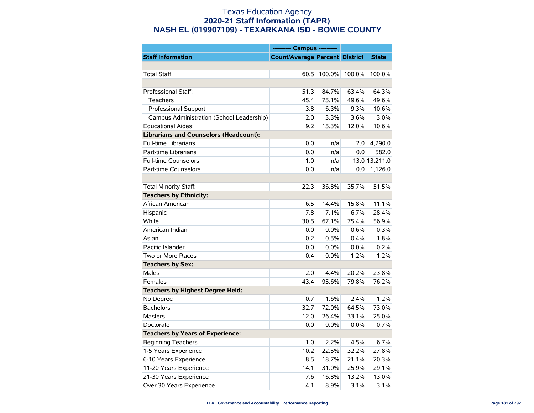|                                               | --------- Campus ---------            |        |        |               |
|-----------------------------------------------|---------------------------------------|--------|--------|---------------|
| <b>Staff Information</b>                      | <b>Count/Average Percent District</b> |        |        | <b>State</b>  |
|                                               |                                       |        |        |               |
| <b>Total Staff</b>                            | 60.5                                  | 100.0% | 100.0% | 100.0%        |
|                                               |                                       |        |        |               |
| Professional Staff:                           | 51.3                                  | 84.7%  | 63.4%  | 64.3%         |
| Teachers                                      | 45.4                                  | 75.1%  | 49.6%  | 49.6%         |
| Professional Support                          | 3.8                                   | 6.3%   | 9.3%   | 10.6%         |
| Campus Administration (School Leadership)     | 2.0                                   | 3.3%   | 3.6%   | 3.0%          |
| <b>Educational Aides:</b>                     | 9.2                                   | 15.3%  | 12.0%  | 10.6%         |
| <b>Librarians and Counselors (Headcount):</b> |                                       |        |        |               |
| <b>Full-time Librarians</b>                   | 0.0                                   | n/a    | 2.0    | 4,290.0       |
| Part-time Librarians                          | 0.0                                   | n/a    | 0.0    | 582.0         |
| <b>Full-time Counselors</b>                   | 1.0                                   | n/a    |        | 13.0 13,211.0 |
| Part-time Counselors                          | 0.0                                   | n/a    | 0.0    | 1,126.0       |
|                                               |                                       |        |        |               |
| Total Minority Staff:                         | 22.3                                  | 36.8%  | 35.7%  | 51.5%         |
| <b>Teachers by Ethnicity:</b>                 |                                       |        |        |               |
| African American                              | 6.5                                   | 14.4%  | 15.8%  | 11.1%         |
| Hispanic                                      | 7.8                                   | 17.1%  | 6.7%   | 28.4%         |
| White                                         | 30.5                                  | 67.1%  | 75.4%  | 56.9%         |
| American Indian                               | 0.0                                   | 0.0%   | 0.6%   | 0.3%          |
| Asian                                         | 0.2                                   | 0.5%   | 0.4%   | 1.8%          |
| Pacific Islander                              | 0.0                                   | 0.0%   | 0.0%   | 0.2%          |
| Two or More Races                             | 0.4                                   | 0.9%   | 1.2%   | 1.2%          |
| <b>Teachers by Sex:</b>                       |                                       |        |        |               |
| <b>Males</b>                                  | 2.0                                   | 4.4%   | 20.2%  | 23.8%         |
| Females                                       | 43.4                                  | 95.6%  | 79.8%  | 76.2%         |
| <b>Teachers by Highest Degree Held:</b>       |                                       |        |        |               |
| No Degree                                     | 0.7                                   | 1.6%   | 2.4%   | 1.2%          |
| <b>Bachelors</b>                              | 32.7                                  | 72.0%  | 64.5%  | 73.0%         |
| <b>Masters</b>                                | 12.0                                  | 26.4%  | 33.1%  | 25.0%         |
| Doctorate                                     | 0.0                                   | 0.0%   | 0.0%   | 0.7%          |
| <b>Teachers by Years of Experience:</b>       |                                       |        |        |               |
| <b>Beginning Teachers</b>                     | 1.0                                   | 2.2%   | 4.5%   | 6.7%          |
| 1-5 Years Experience                          | 10.2                                  | 22.5%  | 32.2%  | 27.8%         |
| 6-10 Years Experience                         | 8.5                                   | 18.7%  | 21.1%  | 20.3%         |
| 11-20 Years Experience                        | 14.1                                  | 31.0%  | 25.9%  | 29.1%         |
| 21-30 Years Experience                        | 7.6                                   | 16.8%  | 13.2%  | 13.0%         |
| Over 30 Years Experience                      | 4.1                                   | 8.9%   | 3.1%   | 3.1%          |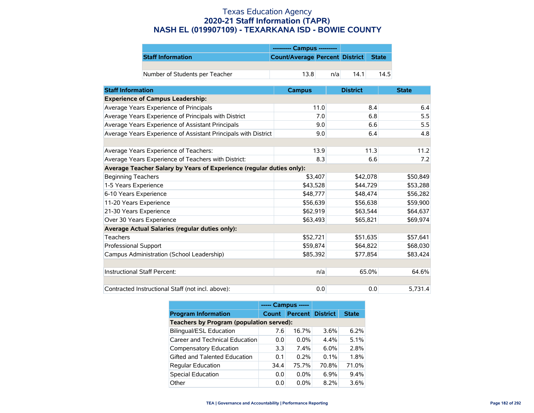|                                | --------- Campus ---------           |     |              |
|--------------------------------|--------------------------------------|-----|--------------|
| <b>Staff Information</b>       | Count/Average Percent District State |     |              |
|                                |                                      |     |              |
| Number of Students per Teacher | 13.8                                 | n/a | 14.5<br>14.1 |

| <b>Staff Information</b>                                             | <b>Campus</b> | <b>District</b> | <b>State</b> |
|----------------------------------------------------------------------|---------------|-----------------|--------------|
| <b>Experience of Campus Leadership:</b>                              |               |                 |              |
| Average Years Experience of Principals                               | 11.0          | 8.4             | 6.4          |
| Average Years Experience of Principals with District                 | 7.0           | 6.8             | 5.5          |
| Average Years Experience of Assistant Principals                     | 9.0           | 6.6             | 5.5          |
| Average Years Experience of Assistant Principals with District       | 9.0           | 6.4             | 4.8          |
|                                                                      |               |                 |              |
| Average Years Experience of Teachers:                                | 13.9          | 11.3            | 11.2         |
| Average Years Experience of Teachers with District:                  | 8.3           | 6.6             | 7.2          |
| Average Teacher Salary by Years of Experience (regular duties only): |               |                 |              |
| <b>Beginning Teachers</b>                                            | \$3,407       | \$42,078        | \$50,849     |
| 1-5 Years Experience                                                 | \$43,528      | \$44,729        | \$53,288     |
| 6-10 Years Experience                                                | \$48,777      | \$48,474        | \$56,282     |
| 11-20 Years Experience                                               | \$56,639      | \$56,638        | \$59,900     |
| 21-30 Years Experience                                               | \$62,919      | \$63,544        | \$64,637     |
| Over 30 Years Experience                                             | \$63,493      | \$65,821        | \$69,974     |
| Average Actual Salaries (regular duties only):                       |               |                 |              |
| Teachers                                                             | \$52,721      | \$51,635        | \$57,641     |
| Professional Support                                                 | \$59,874      | \$64,822        | \$68,030     |
| Campus Administration (School Leadership)                            | \$85,392      | \$77,854        | \$83,424     |
|                                                                      |               |                 |              |
| Instructional Staff Percent:                                         | n/a           | 65.0%           | 64.6%        |
|                                                                      |               |                 |              |
| Contracted Instructional Staff (not incl. above):                    | 0.0           | 0.0             | 5,731.4      |

|                                          | ----- Campus ----- |                         |         |              |  |  |
|------------------------------------------|--------------------|-------------------------|---------|--------------|--|--|
| <b>Program Information</b>               | Count              | <b>Percent District</b> |         | <b>State</b> |  |  |
| Teachers by Program (population served): |                    |                         |         |              |  |  |
| <b>Bilingual/ESL Education</b>           | 7.6                | 16.7%                   | $3.6\%$ | 6.2%         |  |  |
| Career and Technical Education           | 0.0                | $0.0\%$                 | 4.4%    | 5.1%         |  |  |
| Compensatory Education                   | 3.3                | $7.4\%$                 | $6.0\%$ | 2.8%         |  |  |
| Gifted and Talented Education            | 0.1                | 0.2%                    | 0.1%    | 1.8%         |  |  |
| <b>Regular Education</b>                 | 34.4               | 75.7%                   | 70.8%   | 71.0%        |  |  |
| <b>Special Education</b>                 | 0.0                | $0.0\%$                 | 6.9%    | 9.4%         |  |  |
| Other                                    | 0.0                | $0.0\%$                 | 8.2%    | 3.6%         |  |  |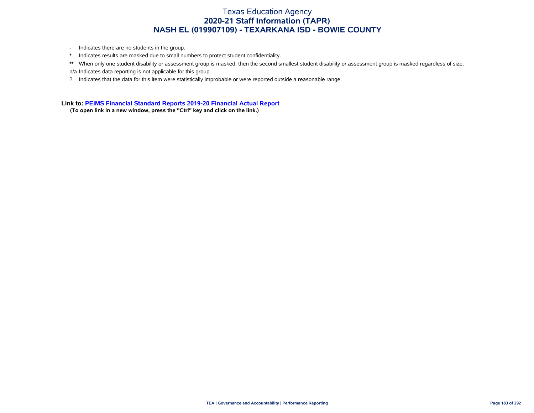- Indicates there are no students in the group.
- \* Indicates results are masked due to small numbers to protect student confidentiality.
- \*\* When only one student disability or assessment group is masked, then the second smallest student disability or assessment group is masked regardless of size. n/a Indicates data reporting is not applicable for this group.
- ? Indicates that the data for this item were statistically improbable or were reported outside a reasonable range.

**Link to: [PEIMS Financial Standard Reports 2019-20 Financial Actual Report](https://rptsvr1.tea.texas.gov/cgi/sas/broker?_service=marykay&_service=appserv&_debug=0&_program=sfadhoc.Campus_actual20.sas&which_camp=019907109)**

**(To open link in a new window, press the "Ctrl" key and click on the link.)**